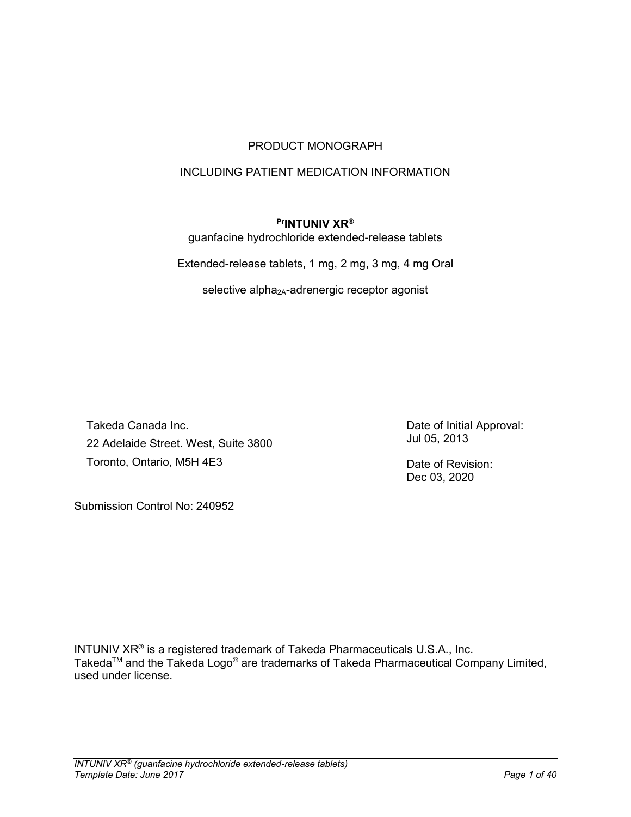# PRODUCT MONOGRAPH

# INCLUDING PATIENT MEDICATION INFORMATION

## **PrINTUNIV XR®**

guanfacine hydrochloride extended-release tablets

Extended-release tablets, 1 mg, 2 mg, 3 mg, 4 mg Oral

selective alpha<sub>2A</sub>-adrenergic receptor agonist

Takeda Canada Inc. 22 Adelaide Street. West, Suite 3800 Toronto, Ontario, M5H 4E3

Date of Initial Approval: Jul 05, 2013

Date of Revision: Dec 03, 2020

Submission Control No: 240952

INTUNIV XR® is a registered trademark of Takeda Pharmaceuticals U.S.A., Inc. Takeda<sup>TM</sup> and the Takeda Logo® are trademarks of Takeda Pharmaceutical Company Limited, used under license.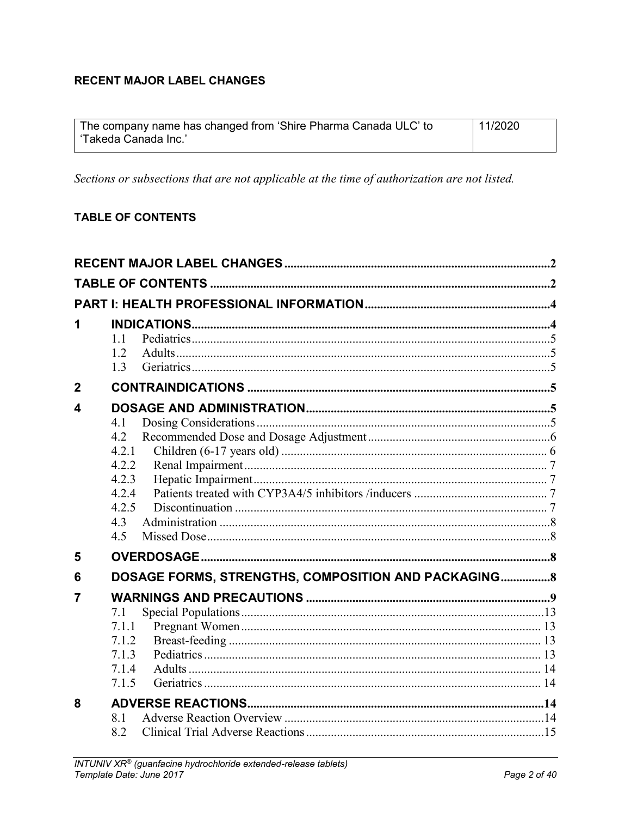# <span id="page-1-0"></span>**RECENT MAJOR LABEL CHANGES**

| The company name has changed from 'Shire Pharma Canada ULC' to | 11/2020 |
|----------------------------------------------------------------|---------|
| 'Takeda Canada Inc.'                                           |         |

Sections or subsections that are not applicable at the time of authorization are not listed.

# <span id="page-1-1"></span>**TABLE OF CONTENTS**

| 1              | 1.1<br>1.2<br>1.3                                                     |  |
|----------------|-----------------------------------------------------------------------|--|
| $\overline{2}$ |                                                                       |  |
| 4              | 4.1<br>4.2<br>4.2.1<br>4.2.2<br>4.2.3<br>4.2.4<br>4.2.5<br>4.3<br>4.5 |  |
| 5              |                                                                       |  |
| 6              | DOSAGE FORMS, STRENGTHS, COMPOSITION AND PACKAGING 8                  |  |
| 7              | 7.1<br>7.1.1<br>7.1.2<br>7.1.3<br>7.1.4<br>7.1.5                      |  |
| 8              | 8.1<br>8.2                                                            |  |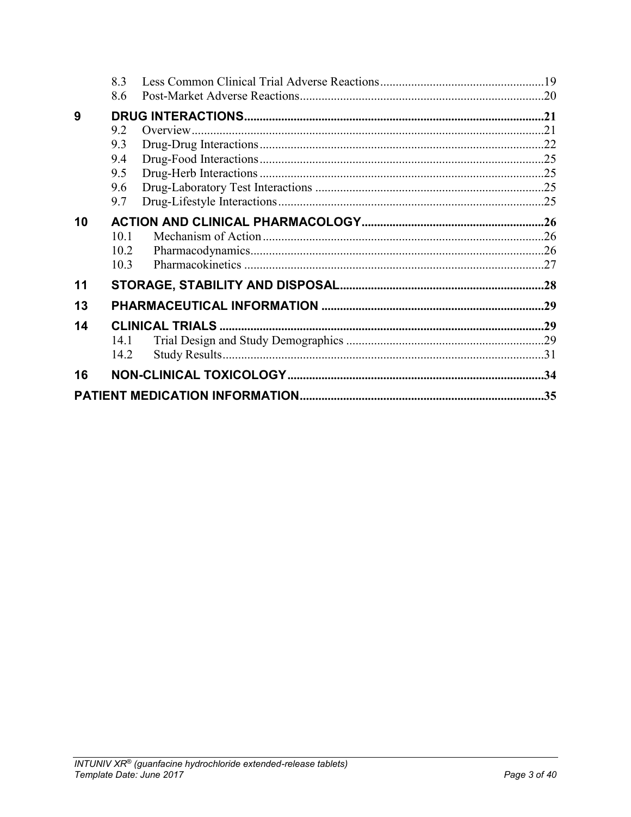|    | 8.3  |  |
|----|------|--|
|    | 8.6  |  |
| 9  |      |  |
|    | 9.2  |  |
|    | 9.3  |  |
|    | 9.4  |  |
|    | 9.5  |  |
|    | 9.6  |  |
|    | 9.7  |  |
| 10 |      |  |
|    | 10.1 |  |
|    | 10.2 |  |
|    | 10.3 |  |
| 11 |      |  |
| 13 |      |  |
| 14 |      |  |
|    | 14.1 |  |
|    | 14.2 |  |
| 16 |      |  |
|    |      |  |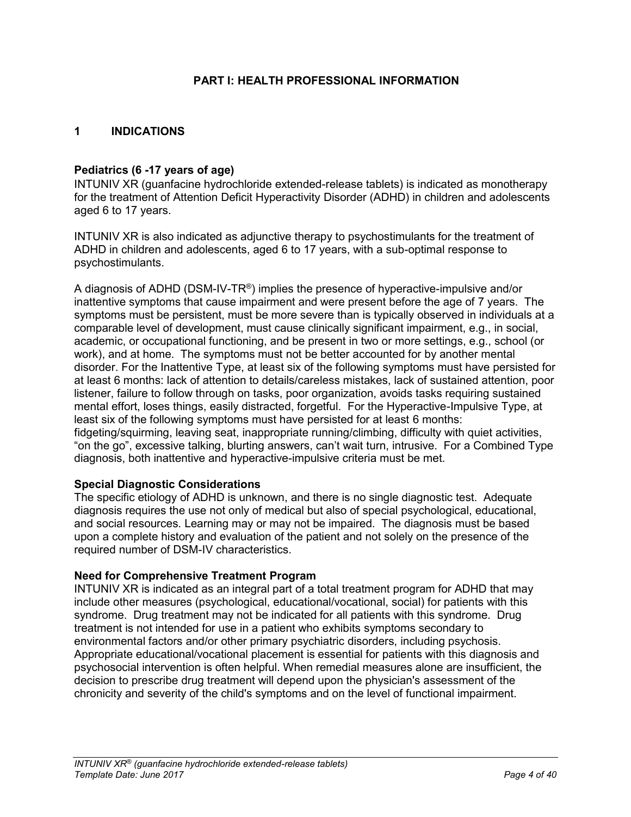### **PART I: HEALTH PROFESSIONAL INFORMATION**

### <span id="page-3-1"></span><span id="page-3-0"></span>**1 INDICATIONS**

#### **Pediatrics (6 -17 years of age)**

INTUNIV XR (guanfacine hydrochloride extended-release tablets) is indicated as monotherapy for the treatment of Attention Deficit Hyperactivity Disorder (ADHD) in children and adolescents aged 6 to 17 years.

INTUNIV XR is also indicated as adjunctive therapy to psychostimulants for the treatment of ADHD in children and adolescents, aged 6 to 17 years, with a sub-optimal response to psychostimulants.

A diagnosis of ADHD (DSM-IV-TR®) implies the presence of hyperactive-impulsive and/or inattentive symptoms that cause impairment and were present before the age of 7 years. The symptoms must be persistent, must be more severe than is typically observed in individuals at a comparable level of development, must cause clinically significant impairment, e.g., in social, academic, or occupational functioning, and be present in two or more settings, e.g., school (or work), and at home. The symptoms must not be better accounted for by another mental disorder. For the Inattentive Type, at least six of the following symptoms must have persisted for at least 6 months: lack of attention to details/careless mistakes, lack of sustained attention, poor listener, failure to follow through on tasks, poor organization, avoids tasks requiring sustained mental effort, loses things, easily distracted, forgetful. For the Hyperactive-Impulsive Type, at least six of the following symptoms must have persisted for at least 6 months: fidgeting/squirming, leaving seat, inappropriate running/climbing, difficulty with quiet activities, "on the go", excessive talking, blurting answers, can't wait turn, intrusive. For a Combined Type diagnosis, both inattentive and hyperactive-impulsive criteria must be met.

#### **Special Diagnostic Considerations**

The specific etiology of ADHD is unknown, and there is no single diagnostic test. Adequate diagnosis requires the use not only of medical but also of special psychological, educational, and social resources. Learning may or may not be impaired. The diagnosis must be based upon a complete history and evaluation of the patient and not solely on the presence of the required number of DSM-IV characteristics.

#### **Need for Comprehensive Treatment Program**

INTUNIV XR is indicated as an integral part of a total treatment program for ADHD that may include other measures (psychological, educational/vocational, social) for patients with this syndrome. Drug treatment may not be indicated for all patients with this syndrome. Drug treatment is not intended for use in a patient who exhibits symptoms secondary to environmental factors and/or other primary psychiatric disorders, including psychosis. Appropriate educational/vocational placement is essential for patients with this diagnosis and psychosocial intervention is often helpful. When remedial measures alone are insufficient, the decision to prescribe drug treatment will depend upon the physician's assessment of the chronicity and severity of the child's symptoms and on the level of functional impairment.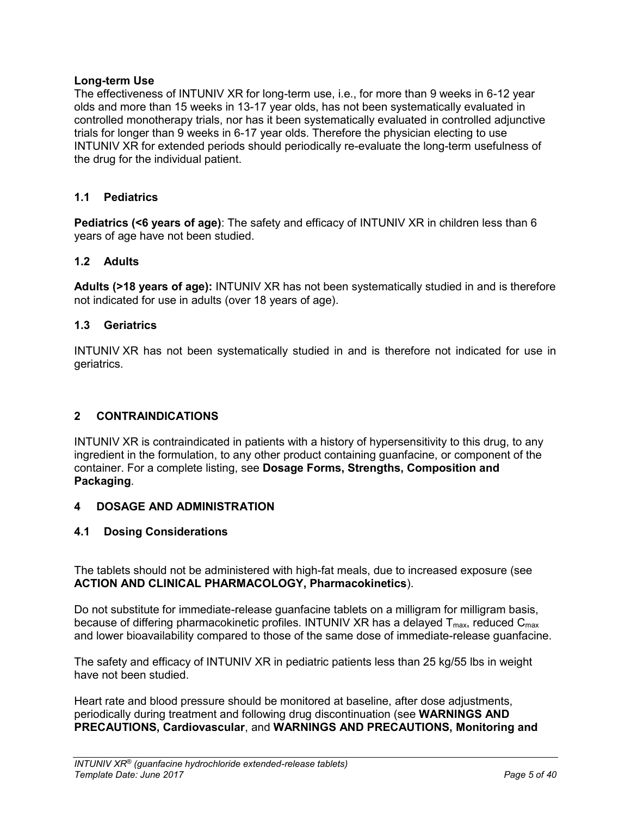## **Long-term Use**

The effectiveness of INTUNIV XR for long-term use, i.e., for more than 9 weeks in 6-12 year olds and more than 15 weeks in 13-17 year olds, has not been systematically evaluated in controlled monotherapy trials, nor has it been systematically evaluated in controlled adjunctive trials for longer than 9 weeks in 6-17 year olds. Therefore the physician electing to use INTUNIV XR for extended periods should periodically re-evaluate the long-term usefulness of the drug for the individual patient.

# <span id="page-4-0"></span>**1.1 Pediatrics**

**Pediatrics (<6 years of age)**: The safety and efficacy of INTUNIV XR in children less than 6 years of age have not been studied.

# <span id="page-4-1"></span>**1.2 Adults**

**Adults (>18 years of age):** INTUNIV XR has not been systematically studied in and is therefore not indicated for use in adults (over 18 years of age).

# <span id="page-4-2"></span>**1.3 Geriatrics**

INTUNIV XR has not been systematically studied in and is therefore not indicated for use in geriatrics.

## <span id="page-4-3"></span>**2 CONTRAINDICATIONS**

INTUNIV XR is contraindicated in patients with a history of hypersensitivity to this drug, to any ingredient in the formulation, to any other product containing guanfacine, or component of the container. For a complete listing, see **Dosage Forms, Strengths, Composition and Packaging**.

## <span id="page-4-4"></span>**4 DOSAGE AND ADMINISTRATION**

## <span id="page-4-5"></span>**4.1 Dosing Considerations**

The tablets should not be administered with high-fat meals, due to increased exposure (see **ACTION AND CLINICAL PHARMACOLOGY, Pharmacokinetics**).

Do not substitute for immediate-release guanfacine tablets on a milligram for milligram basis, because of differing pharmacokinetic profiles. INTUNIV XR has a delayed  $T_{max}$ , reduced  $C_{max}$ and lower bioavailability compared to those of the same dose of immediate-release guanfacine.

The safety and efficacy of INTUNIV XR in pediatric patients less than 25 kg/55 lbs in weight have not been studied.

Heart rate and blood pressure should be monitored at baseline, after dose adjustments, periodically during treatment and following drug discontinuation (see **WARNINGS AND PRECAUTIONS, Cardiovascular**, and **WARNINGS AND PRECAUTIONS, Monitoring and**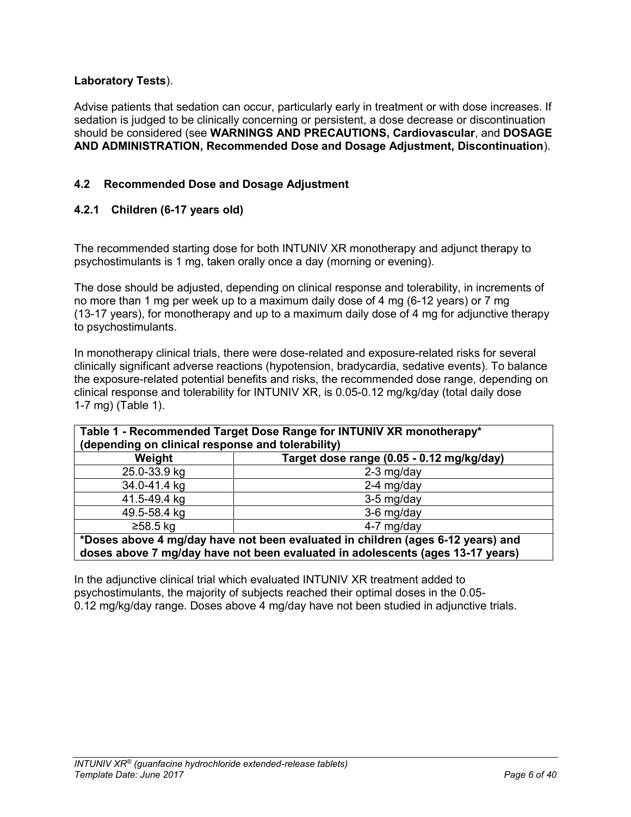# **Laboratory Tests**).

Advise patients that sedation can occur, particularly early in treatment or with dose increases. If sedation is judged to be clinically concerning or persistent, a dose decrease or discontinuation should be considered (see **WARNINGS AND PRECAUTIONS, Cardiovascular**, and **DOSAGE AND ADMINISTRATION, Recommended Dose and Dosage Adjustment, Discontinuation**).

# <span id="page-5-0"></span>**4.2 Recommended Dose and Dosage Adjustment**

# <span id="page-5-1"></span>**4.2.1 Children (6-17 years old)**

The recommended starting dose for both INTUNIV XR monotherapy and adjunct therapy to psychostimulants is 1 mg, taken orally once a day (morning or evening).

The dose should be adjusted, depending on clinical response and tolerability, in increments of no more than 1 mg per week up to a maximum daily dose of 4 mg (6-12 years) or 7 mg (13-17 years), for monotherapy and up to a maximum daily dose of 4 mg for adjunctive therapy to psychostimulants.

In monotherapy clinical trials, there were dose-related and exposure-related risks for several clinically significant adverse reactions (hypotension, bradycardia, sedative events). To balance the exposure-related potential benefits and risks, the recommended dose range, depending on clinical response and tolerability for INTUNIV XR, is 0.05-0.12 mg/kg/day (total daily dose 1-7 mg) (Table 1).

| Table 1 - Recommended Target Dose Range for INTUNIV XR monotherapy* |
|---------------------------------------------------------------------|
| (depending on clinical response and tolerability)                   |

| Weight       | Target dose range (0.05 - 0.12 mg/kg/day) |
|--------------|-------------------------------------------|
| 25.0-33.9 kg | $2-3$ mg/day                              |
| 34.0-41.4 kg | $2-4$ mg/day                              |
| 41.5-49.4 kg | 3-5 mg/day                                |
| 49.5-58.4 kg | 3-6 mg/day                                |
| ≥58.5 kg     | 4-7 mg/day                                |
|              |                                           |

**\*Doses above 4 mg/day have not been evaluated in children (ages 6-12 years) and doses above 7 mg/day have not been evaluated in adolescents (ages 13-17 years)**

In the adjunctive clinical trial which evaluated INTUNIV XR treatment added to psychostimulants, the majority of subjects reached their optimal doses in the 0.05- 0.12 mg/kg/day range. Doses above 4 mg/day have not been studied in adjunctive trials.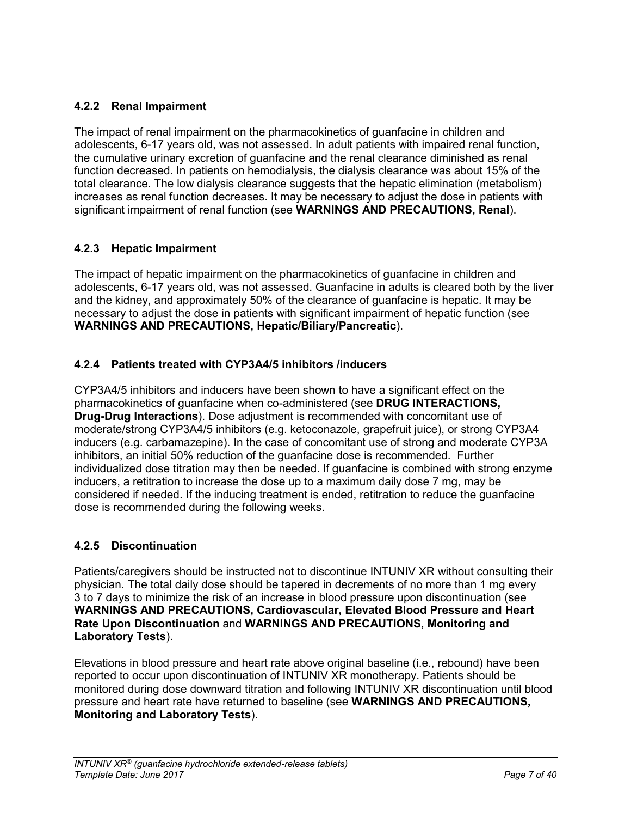# <span id="page-6-0"></span>**4.2.2 Renal Impairment**

The impact of renal impairment on the pharmacokinetics of guanfacine in children and adolescents, 6-17 years old, was not assessed. In adult patients with impaired renal function, the cumulative urinary excretion of guanfacine and the renal clearance diminished as renal function decreased. In patients on hemodialysis, the dialysis clearance was about 15% of the total clearance. The low dialysis clearance suggests that the hepatic elimination (metabolism) increases as renal function decreases. It may be necessary to adjust the dose in patients with significant impairment of renal function (see **WARNINGS AND PRECAUTIONS, Renal**).

# <span id="page-6-1"></span>**4.2.3 Hepatic Impairment**

The impact of hepatic impairment on the pharmacokinetics of guanfacine in children and adolescents, 6-17 years old, was not assessed. Guanfacine in adults is cleared both by the liver and the kidney, and approximately 50% of the clearance of guanfacine is hepatic. It may be necessary to adjust the dose in patients with significant impairment of hepatic function (see **WARNINGS AND PRECAUTIONS, Hepatic/Biliary/Pancreatic**).

# <span id="page-6-2"></span>**4.2.4 Patients treated with CYP3A4/5 inhibitors /inducers**

CYP3A4/5 inhibitors and inducers have been shown to have a significant effect on the pharmacokinetics of guanfacine when co-administered (see **DRUG INTERACTIONS, Drug-Drug Interactions**). Dose adjustment is recommended with concomitant use of moderate/strong CYP3A4/5 inhibitors (e.g. ketoconazole, grapefruit juice), or strong CYP3A4 inducers (e.g. carbamazepine). In the case of concomitant use of strong and moderate CYP3A inhibitors, an initial 50% reduction of the guanfacine dose is recommended. Further individualized dose titration may then be needed. If guanfacine is combined with strong enzyme inducers, a retitration to increase the dose up to a maximum daily dose 7 mg, may be considered if needed. If the inducing treatment is ended, retitration to reduce the guanfacine dose is recommended during the following weeks.

# <span id="page-6-3"></span>**4.2.5 Discontinuation**

Patients/caregivers should be instructed not to discontinue INTUNIV XR without consulting their physician. The total daily dose should be tapered in decrements of no more than 1 mg every 3 to 7 days to minimize the risk of an increase in blood pressure upon discontinuation (see **WARNINGS AND PRECAUTIONS, Cardiovascular, Elevated Blood Pressure and Heart Rate Upon Discontinuation** and **WARNINGS AND PRECAUTIONS, Monitoring and Laboratory Tests**).

Elevations in blood pressure and heart rate above original baseline (i.e., rebound) have been reported to occur upon discontinuation of INTUNIV XR monotherapy. Patients should be monitored during dose downward titration and following INTUNIV XR discontinuation until blood pressure and heart rate have returned to baseline (see **WARNINGS AND PRECAUTIONS, Monitoring and Laboratory Tests**).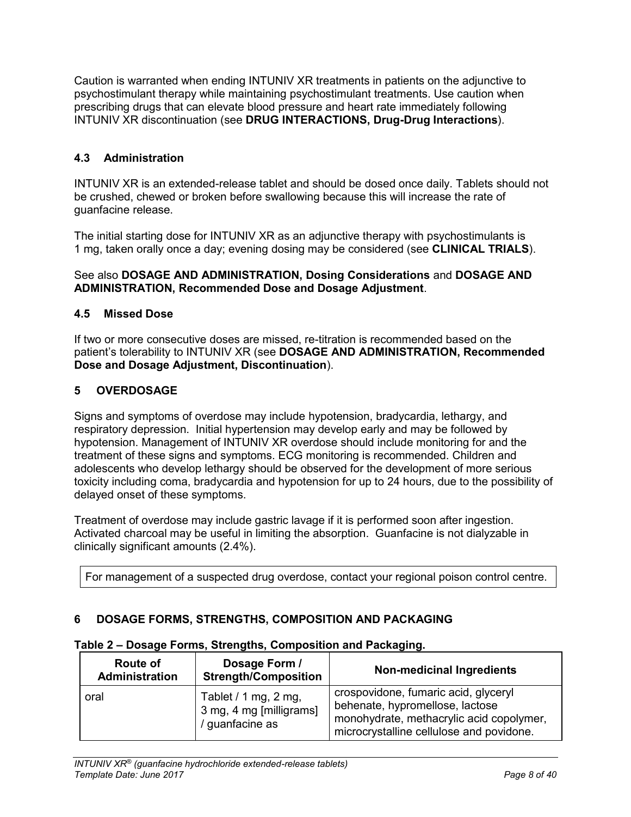Caution is warranted when ending INTUNIV XR treatments in patients on the adjunctive to psychostimulant therapy while maintaining psychostimulant treatments. Use caution when prescribing drugs that can elevate blood pressure and heart rate immediately following INTUNIV XR discontinuation (see **DRUG INTERACTIONS, Drug-Drug Interactions**).

# <span id="page-7-0"></span>**4.3 Administration**

INTUNIV XR is an extended-release tablet and should be dosed once daily. Tablets should not be crushed, chewed or broken before swallowing because this will increase the rate of guanfacine release.

The initial starting dose for INTUNIV XR as an adjunctive therapy with psychostimulants is 1 mg, taken orally once a day; evening dosing may be considered (see **CLINICAL TRIALS**).

### See also **DOSAGE AND ADMINISTRATION, Dosing Considerations** and **DOSAGE AND ADMINISTRATION, Recommended Dose and Dosage Adjustment**.

## <span id="page-7-1"></span>**4.5 Missed Dose**

If two or more consecutive doses are missed, re-titration is recommended based on the patient's tolerability to INTUNIV XR (see **DOSAGE AND ADMINISTRATION, Recommended Dose and Dosage Adjustment, Discontinuation**).

# <span id="page-7-2"></span>**5 OVERDOSAGE**

Signs and symptoms of overdose may include hypotension, bradycardia, lethargy, and respiratory depression. Initial hypertension may develop early and may be followed by hypotension. Management of INTUNIV XR overdose should include monitoring for and the treatment of these signs and symptoms. ECG monitoring is recommended. Children and adolescents who develop lethargy should be observed for the development of more serious toxicity including coma, bradycardia and hypotension for up to 24 hours, due to the possibility of delayed onset of these symptoms.

Treatment of overdose may include gastric lavage if it is performed soon after ingestion. Activated charcoal may be useful in limiting the absorption. Guanfacine is not dialyzable in clinically significant amounts (2.4%).

For management of a suspected drug overdose, contact your regional poison control centre.

## <span id="page-7-3"></span>**6 DOSAGE FORMS, STRENGTHS, COMPOSITION AND PACKAGING**

| <b>Route of</b><br>Administration | Dosage Form /<br><b>Strength/Composition</b>                       | <b>Non-medicinal Ingredients</b>                                                                                                                                |
|-----------------------------------|--------------------------------------------------------------------|-----------------------------------------------------------------------------------------------------------------------------------------------------------------|
| oral                              | Tablet / 1 mg, 2 mg,<br>3 mg, 4 mg [milligrams]<br>/ guanfacine as | crospovidone, fumaric acid, glyceryl<br>behenate, hypromellose, lactose<br>monohydrate, methacrylic acid copolymer,<br>microcrystalline cellulose and povidone. |

#### **Table 2 – Dosage Forms, Strengths, Composition and Packaging.**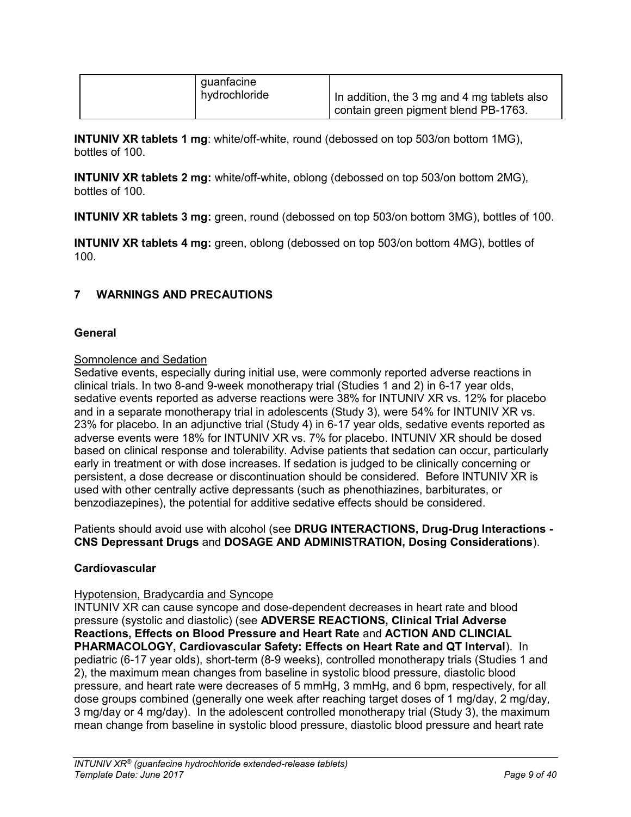| guanfacine    |                                             |
|---------------|---------------------------------------------|
| hydrochloride | In addition, the 3 mg and 4 mg tablets also |
|               | contain green pigment blend PB-1763.        |

**INTUNIV XR tablets 1 mg**: white/off-white, round (debossed on top 503/on bottom 1MG), bottles of 100.

**INTUNIV XR tablets 2 mg:** white/off-white, oblong (debossed on top 503/on bottom 2MG), bottles of 100.

**INTUNIV XR tablets 3 mg:** green, round (debossed on top 503/on bottom 3MG), bottles of 100.

**INTUNIV XR tablets 4 mg:** green, oblong (debossed on top 503/on bottom 4MG), bottles of 100.

# <span id="page-8-0"></span>**7 WARNINGS AND PRECAUTIONS**

## **General**

### Somnolence and Sedation

Sedative events, especially during initial use, were commonly reported adverse reactions in clinical trials. In two 8-and 9-week monotherapy trial (Studies 1 and 2) in 6-17 year olds, sedative events reported as adverse reactions were 38% for INTUNIV XR vs. 12% for placebo and in a separate monotherapy trial in adolescents (Study 3), were 54% for INTUNIV XR vs. 23% for placebo. In an adjunctive trial (Study 4) in 6-17 year olds, sedative events reported as adverse events were 18% for INTUNIV XR vs. 7% for placebo. INTUNIV XR should be dosed based on clinical response and tolerability. Advise patients that sedation can occur, particularly early in treatment or with dose increases. If sedation is judged to be clinically concerning or persistent, a dose decrease or discontinuation should be considered. Before INTUNIV XR is used with other centrally active depressants (such as phenothiazines, barbiturates, or benzodiazepines), the potential for additive sedative effects should be considered.

Patients should avoid use with alcohol (see **DRUG INTERACTIONS, Drug-Drug Interactions - CNS Depressant Drugs** and **DOSAGE AND ADMINISTRATION, Dosing Considerations**).

## **Cardiovascular**

#### Hypotension, Bradycardia and Syncope

INTUNIV XR can cause syncope and dose-dependent decreases in heart rate and blood pressure (systolic and diastolic) (see **ADVERSE REACTIONS, Clinical Trial Adverse Reactions, Effects on Blood Pressure and Heart Rate** and **ACTION AND CLINCIAL PHARMACOLOGY, Cardiovascular Safety: Effects on Heart Rate and QT Interval**). In pediatric (6-17 year olds), short-term (8-9 weeks), controlled monotherapy trials (Studies 1 and 2), the maximum mean changes from baseline in systolic blood pressure, diastolic blood pressure, and heart rate were decreases of 5 mmHg, 3 mmHg, and 6 bpm, respectively, for all dose groups combined (generally one week after reaching target doses of 1 mg/day, 2 mg/day, 3 mg/day or 4 mg/day). In the adolescent controlled monotherapy trial (Study 3), the maximum mean change from baseline in systolic blood pressure, diastolic blood pressure and heart rate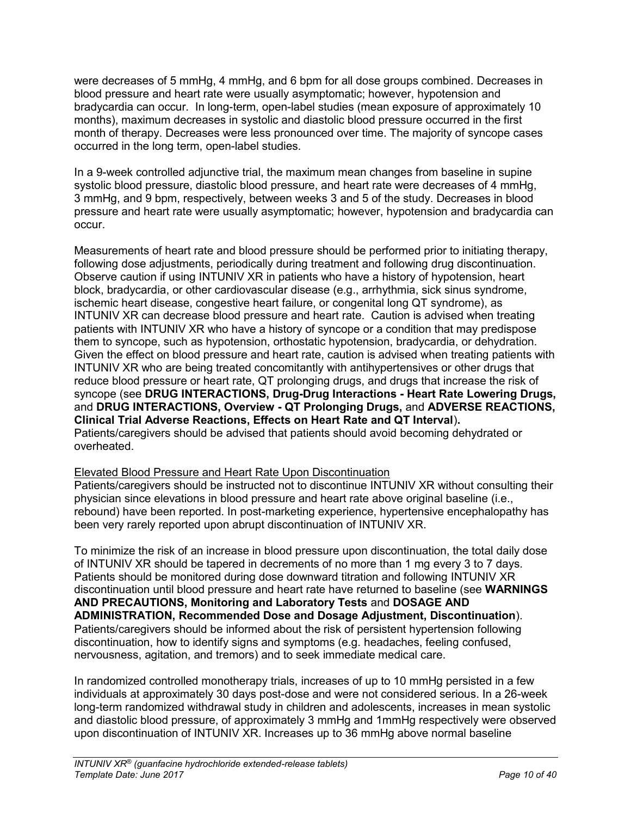were decreases of 5 mmHg, 4 mmHg, and 6 bpm for all dose groups combined. Decreases in blood pressure and heart rate were usually asymptomatic; however, hypotension and bradycardia can occur. In long-term, open-label studies (mean exposure of approximately 10 months), maximum decreases in systolic and diastolic blood pressure occurred in the first month of therapy. Decreases were less pronounced over time. The majority of syncope cases occurred in the long term, open-label studies.

In a 9-week controlled adjunctive trial, the maximum mean changes from baseline in supine systolic blood pressure, diastolic blood pressure, and heart rate were decreases of 4 mmHg, 3 mmHg, and 9 bpm, respectively, between weeks 3 and 5 of the study. Decreases in blood pressure and heart rate were usually asymptomatic; however, hypotension and bradycardia can occur.

Measurements of heart rate and blood pressure should be performed prior to initiating therapy, following dose adjustments, periodically during treatment and following drug discontinuation. Observe caution if using INTUNIV XR in patients who have a history of hypotension, heart block, bradycardia, or other cardiovascular disease (e.g., arrhythmia, sick sinus syndrome, ischemic heart disease, congestive heart failure, or congenital long QT syndrome), as INTUNIV XR can decrease blood pressure and heart rate. Caution is advised when treating patients with INTUNIV XR who have a history of syncope or a condition that may predispose them to syncope, such as hypotension, orthostatic hypotension, bradycardia, or dehydration. Given the effect on blood pressure and heart rate, caution is advised when treating patients with INTUNIV XR who are being treated concomitantly with antihypertensives or other drugs that reduce blood pressure or heart rate, QT prolonging drugs, and drugs that increase the risk of syncope (see **DRUG INTERACTIONS, Drug-Drug Interactions - Heart Rate Lowering Drugs,**  and **DRUG INTERACTIONS, Overview - QT Prolonging Drugs,** and **ADVERSE REACTIONS, Clinical Trial Adverse Reactions, Effects on Heart Rate and QT Interval**)**.** Patients/caregivers should be advised that patients should avoid becoming dehydrated or overheated.

## Elevated Blood Pressure and Heart Rate Upon Discontinuation

Patients/caregivers should be instructed not to discontinue INTUNIV XR without consulting their physician since elevations in blood pressure and heart rate above original baseline (i.e., rebound) have been reported. In post-marketing experience, hypertensive encephalopathy has been very rarely reported upon abrupt discontinuation of INTUNIV XR.

To minimize the risk of an increase in blood pressure upon discontinuation, the total daily dose of INTUNIV XR should be tapered in decrements of no more than 1 mg every 3 to 7 days. Patients should be monitored during dose downward titration and following INTUNIV XR discontinuation until blood pressure and heart rate have returned to baseline (see **WARNINGS AND PRECAUTIONS, Monitoring and Laboratory Tests** and **DOSAGE AND ADMINISTRATION, Recommended Dose and Dosage Adjustment, Discontinuation**). Patients/caregivers should be informed about the risk of persistent hypertension following discontinuation, how to identify signs and symptoms (e.g. headaches, feeling confused, nervousness, agitation, and tremors) and to seek immediate medical care.

In randomized controlled monotherapy trials, increases of up to 10 mmHg persisted in a few individuals at approximately 30 days post-dose and were not considered serious. In a 26-week long-term randomized withdrawal study in children and adolescents, increases in mean systolic and diastolic blood pressure, of approximately 3 mmHg and 1mmHg respectively were observed upon discontinuation of INTUNIV XR. Increases up to 36 mmHg above normal baseline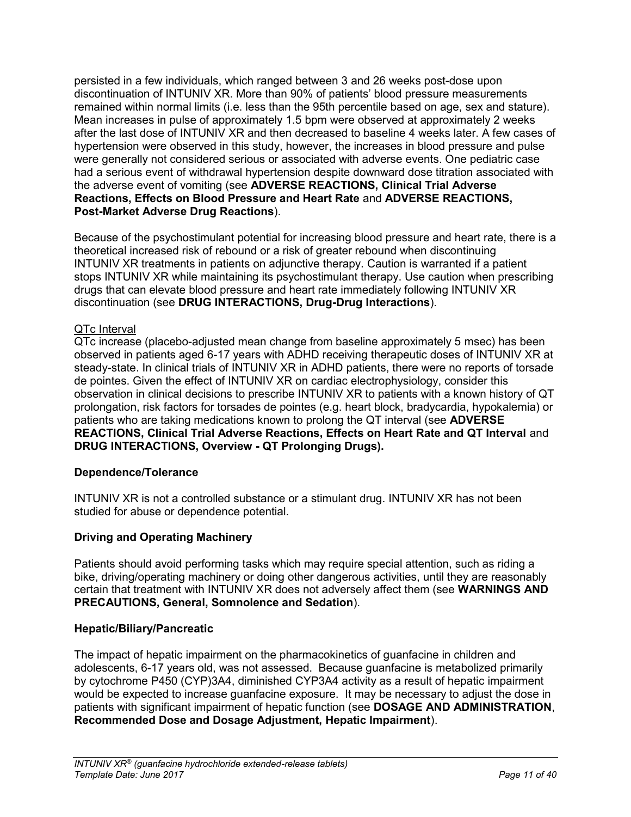persisted in a few individuals, which ranged between 3 and 26 weeks post-dose upon discontinuation of INTUNIV XR. More than 90% of patients' blood pressure measurements remained within normal limits (i.e. less than the 95th percentile based on age, sex and stature). Mean increases in pulse of approximately 1.5 bpm were observed at approximately 2 weeks after the last dose of INTUNIV XR and then decreased to baseline 4 weeks later. A few cases of hypertension were observed in this study, however, the increases in blood pressure and pulse were generally not considered serious or associated with adverse events. One pediatric case had a serious event of withdrawal hypertension despite downward dose titration associated with the adverse event of vomiting (see **ADVERSE REACTIONS, Clinical Trial Adverse Reactions, Effects on Blood Pressure and Heart Rate** and **ADVERSE REACTIONS, Post-Market Adverse Drug Reactions**).

Because of the psychostimulant potential for increasing blood pressure and heart rate, there is a theoretical increased risk of rebound or a risk of greater rebound when discontinuing INTUNIV XR treatments in patients on adjunctive therapy. Caution is warranted if a patient stops INTUNIV XR while maintaining its psychostimulant therapy. Use caution when prescribing drugs that can elevate blood pressure and heart rate immediately following INTUNIV XR discontinuation (see **DRUG INTERACTIONS, Drug-Drug Interactions**).

# QTc Interval

QTc increase (placebo-adjusted mean change from baseline approximately 5 msec) has been observed in patients aged 6-17 years with ADHD receiving therapeutic doses of INTUNIV XR at steady-state. In clinical trials of INTUNIV XR in ADHD patients, there were no reports of torsade de pointes. Given the effect of INTUNIV XR on cardiac electrophysiology, consider this observation in clinical decisions to prescribe INTUNIV XR to patients with a known history of QT prolongation, risk factors for torsades de pointes (e.g. heart block, bradycardia, hypokalemia) or patients who are taking medications known to prolong the QT interval (see **ADVERSE REACTIONS, Clinical Trial Adverse Reactions, Effects on Heart Rate and QT Interval** and **DRUG INTERACTIONS, Overview - QT Prolonging Drugs).**

# **Dependence/Tolerance**

INTUNIV XR is not a controlled substance or a stimulant drug. INTUNIV XR has not been studied for abuse or dependence potential.

## **Driving and Operating Machinery**

Patients should avoid performing tasks which may require special attention, such as riding a bike, driving/operating machinery or doing other dangerous activities, until they are reasonably certain that treatment with INTUNIV XR does not adversely affect them (see **WARNINGS AND PRECAUTIONS, General, Somnolence and Sedation**).

## **Hepatic/Biliary/Pancreatic**

The impact of hepatic impairment on the pharmacokinetics of guanfacine in children and adolescents, 6-17 years old, was not assessed. Because guanfacine is metabolized primarily by cytochrome P450 (CYP)3A4, diminished CYP3A4 activity as a result of hepatic impairment would be expected to increase guanfacine exposure. It may be necessary to adjust the dose in patients with significant impairment of hepatic function (see **DOSAGE AND ADMINISTRATION**, **Recommended Dose and Dosage Adjustment, Hepatic Impairment**).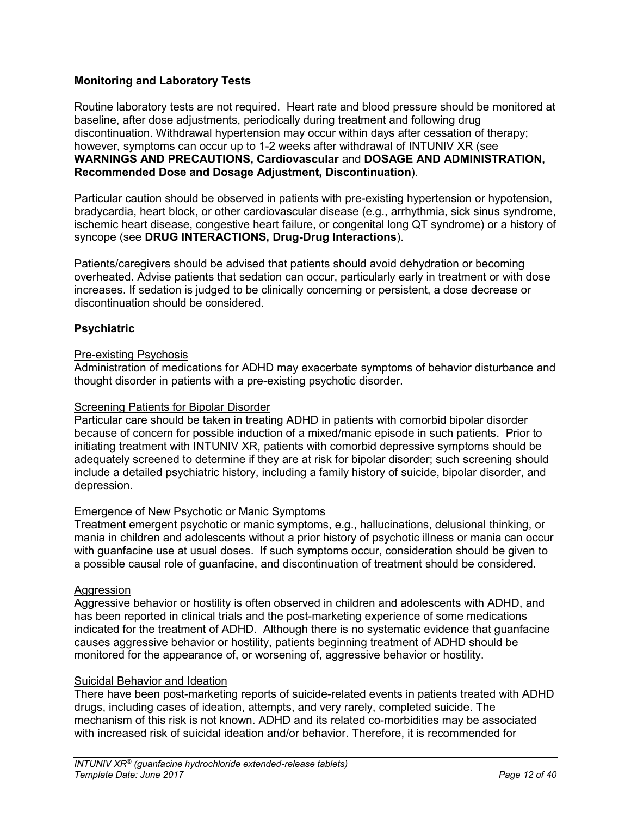# **Monitoring and Laboratory Tests**

Routine laboratory tests are not required. Heart rate and blood pressure should be monitored at baseline, after dose adjustments, periodically during treatment and following drug discontinuation. Withdrawal hypertension may occur within days after cessation of therapy; however, symptoms can occur up to 1-2 weeks after withdrawal of INTUNIV XR (see **WARNINGS AND PRECAUTIONS, Cardiovascular** and **DOSAGE AND ADMINISTRATION, Recommended Dose and Dosage Adjustment, Discontinuation**).

Particular caution should be observed in patients with pre-existing hypertension or hypotension, bradycardia, heart block, or other cardiovascular disease (e.g., arrhythmia, sick sinus syndrome, ischemic heart disease, congestive heart failure, or congenital long QT syndrome) or a history of syncope (see **DRUG INTERACTIONS, Drug-Drug Interactions**).

Patients/caregivers should be advised that patients should avoid dehydration or becoming overheated. Advise patients that sedation can occur, particularly early in treatment or with dose increases. If sedation is judged to be clinically concerning or persistent, a dose decrease or discontinuation should be considered.

# **Psychiatric**

### Pre-existing Psychosis

Administration of medications for ADHD may exacerbate symptoms of behavior disturbance and thought disorder in patients with a pre-existing psychotic disorder.

#### **Screening Patients for Bipolar Disorder**

Particular care should be taken in treating ADHD in patients with comorbid bipolar disorder because of concern for possible induction of a mixed/manic episode in such patients. Prior to initiating treatment with INTUNIV XR, patients with comorbid depressive symptoms should be adequately screened to determine if they are at risk for bipolar disorder; such screening should include a detailed psychiatric history, including a family history of suicide, bipolar disorder, and depression.

## Emergence of New Psychotic or Manic Symptoms

Treatment emergent psychotic or manic symptoms, e.g., hallucinations, delusional thinking, or mania in children and adolescents without a prior history of psychotic illness or mania can occur with guanfacine use at usual doses. If such symptoms occur, consideration should be given to a possible causal role of guanfacine, and discontinuation of treatment should be considered.

#### Aggression

Aggressive behavior or hostility is often observed in children and adolescents with ADHD, and has been reported in clinical trials and the post-marketing experience of some medications indicated for the treatment of ADHD. Although there is no systematic evidence that guanfacine causes aggressive behavior or hostility, patients beginning treatment of ADHD should be monitored for the appearance of, or worsening of, aggressive behavior or hostility.

# Suicidal Behavior and Ideation

There have been post-marketing reports of suicide-related events in patients treated with ADHD drugs, including cases of ideation, attempts, and very rarely, completed suicide. The mechanism of this risk is not known. ADHD and its related co-morbidities may be associated with increased risk of suicidal ideation and/or behavior. Therefore, it is recommended for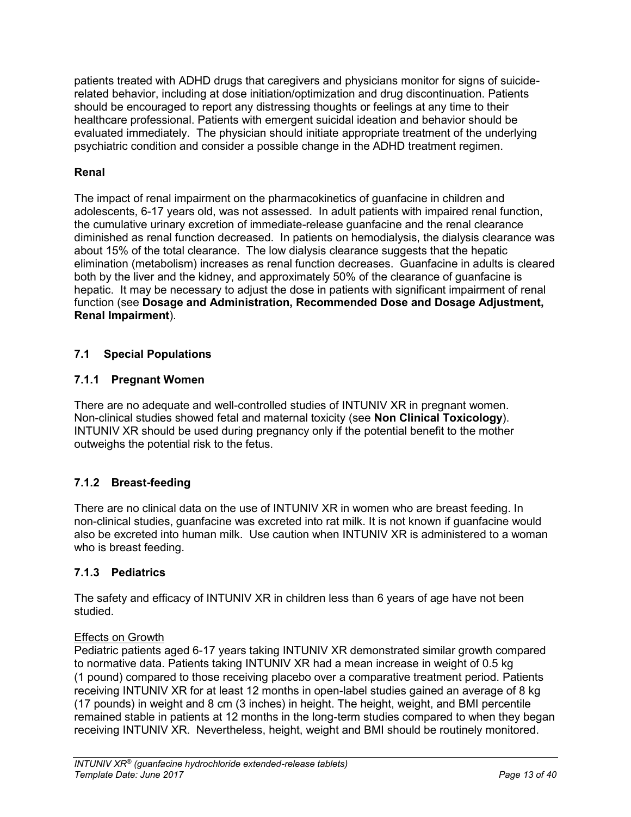patients treated with ADHD drugs that caregivers and physicians monitor for signs of suiciderelated behavior, including at dose initiation/optimization and drug discontinuation. Patients should be encouraged to report any distressing thoughts or feelings at any time to their healthcare professional. Patients with emergent suicidal ideation and behavior should be evaluated immediately. The physician should initiate appropriate treatment of the underlying psychiatric condition and consider a possible change in the ADHD treatment regimen.

# **Renal**

The impact of renal impairment on the pharmacokinetics of guanfacine in children and adolescents, 6-17 years old, was not assessed. In adult patients with impaired renal function, the cumulative urinary excretion of immediate-release guanfacine and the renal clearance diminished as renal function decreased. In patients on hemodialysis, the dialysis clearance was about 15% of the total clearance. The low dialysis clearance suggests that the hepatic elimination (metabolism) increases as renal function decreases. Guanfacine in adults is cleared both by the liver and the kidney, and approximately 50% of the clearance of guanfacine is hepatic. It may be necessary to adjust the dose in patients with significant impairment of renal function (see **Dosage and Administration, Recommended Dose and Dosage Adjustment, Renal Impairment**).

# <span id="page-12-0"></span>**7.1 Special Populations**

# <span id="page-12-1"></span>**7.1.1 Pregnant Women**

There are no adequate and well-controlled studies of INTUNIV XR in pregnant women. Non-clinical studies showed fetal and maternal toxicity (see **Non Clinical Toxicology**). INTUNIV XR should be used during pregnancy only if the potential benefit to the mother outweighs the potential risk to the fetus.

# <span id="page-12-2"></span>**7.1.2 Breast-feeding**

There are no clinical data on the use of INTUNIV XR in women who are breast feeding. In non-clinical studies, guanfacine was excreted into rat milk. It is not known if guanfacine would also be excreted into human milk. Use caution when INTUNIV XR is administered to a woman who is breast feeding.

# <span id="page-12-3"></span>**7.1.3 Pediatrics**

The safety and efficacy of INTUNIV XR in children less than 6 years of age have not been studied.

# Effects on Growth

Pediatric patients aged 6-17 years taking INTUNIV XR demonstrated similar growth compared to normative data. Patients taking INTUNIV XR had a mean increase in weight of 0.5 kg (1 pound) compared to those receiving placebo over a comparative treatment period. Patients receiving INTUNIV XR for at least 12 months in open-label studies gained an average of 8 kg (17 pounds) in weight and 8 cm (3 inches) in height. The height, weight, and BMI percentile remained stable in patients at 12 months in the long-term studies compared to when they began receiving INTUNIV XR. Nevertheless, height, weight and BMI should be routinely monitored.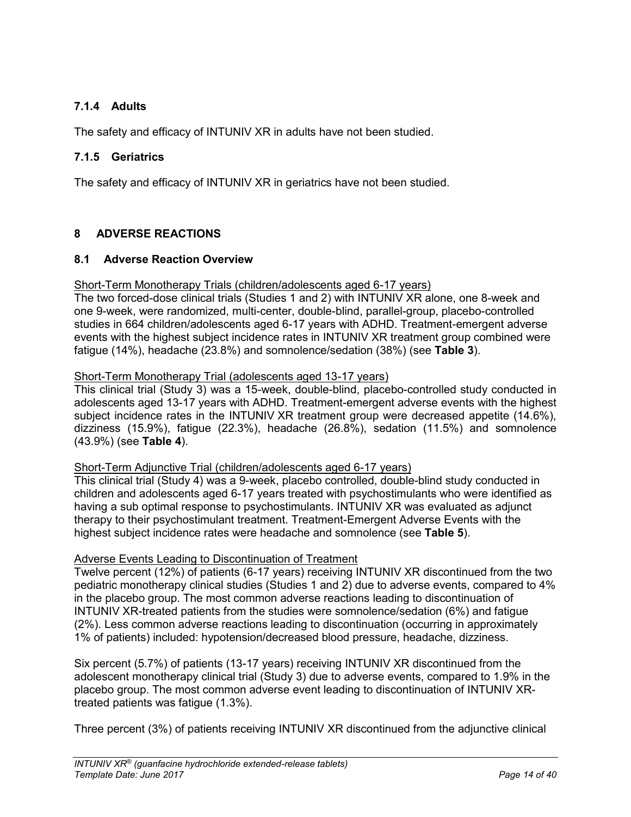# <span id="page-13-0"></span>**7.1.4 Adults**

The safety and efficacy of INTUNIV XR in adults have not been studied.

# <span id="page-13-1"></span>**7.1.5 Geriatrics**

The safety and efficacy of INTUNIV XR in geriatrics have not been studied.

# <span id="page-13-2"></span>**8 ADVERSE REACTIONS**

## <span id="page-13-3"></span>**8.1 Adverse Reaction Overview**

#### Short-Term Monotherapy Trials (children/adolescents aged 6-17 years)

The two forced-dose clinical trials (Studies 1 and 2) with INTUNIV XR alone, one 8-week and one 9-week, were randomized, multi-center, double-blind, parallel-group, placebo-controlled studies in 664 children/adolescents aged 6-17 years with ADHD. Treatment-emergent adverse events with the highest subject incidence rates in INTUNIV XR treatment group combined were fatigue (14%), headache (23.8%) and somnolence/sedation (38%) (see **Table 3**).

# Short-Term Monotherapy Trial (adolescents aged 13-17 years)

This clinical trial (Study 3) was a 15-week, double-blind, placebo-controlled study conducted in adolescents aged 13-17 years with ADHD. Treatment-emergent adverse events with the highest subject incidence rates in the INTUNIV XR treatment group were decreased appetite (14.6%), dizziness (15.9%), fatigue (22.3%), headache (26.8%), sedation (11.5%) and somnolence (43.9%) (see **Table 4**).

# Short-Term Adjunctive Trial (children/adolescents aged 6-17 years)

This clinical trial (Study 4) was a 9-week, placebo controlled, double-blind study conducted in children and adolescents aged 6-17 years treated with psychostimulants who were identified as having a sub optimal response to psychostimulants. INTUNIV XR was evaluated as adjunct therapy to their psychostimulant treatment. Treatment-Emergent Adverse Events with the highest subject incidence rates were headache and somnolence (see **Table 5**).

## Adverse Events Leading to Discontinuation of Treatment

Twelve percent (12%) of patients (6-17 years) receiving INTUNIV XR discontinued from the two pediatric monotherapy clinical studies (Studies 1 and 2) due to adverse events, compared to 4% in the placebo group. The most common adverse reactions leading to discontinuation of INTUNIV XR-treated patients from the studies were somnolence/sedation (6%) and fatigue (2%). Less common adverse reactions leading to discontinuation (occurring in approximately 1% of patients) included: hypotension/decreased blood pressure, headache, dizziness.

Six percent (5.7%) of patients (13-17 years) receiving INTUNIV XR discontinued from the adolescent monotherapy clinical trial (Study 3) due to adverse events, compared to 1.9% in the placebo group. The most common adverse event leading to discontinuation of INTUNIV XRtreated patients was fatigue (1.3%).

Three percent (3%) of patients receiving INTUNIV XR discontinued from the adjunctive clinical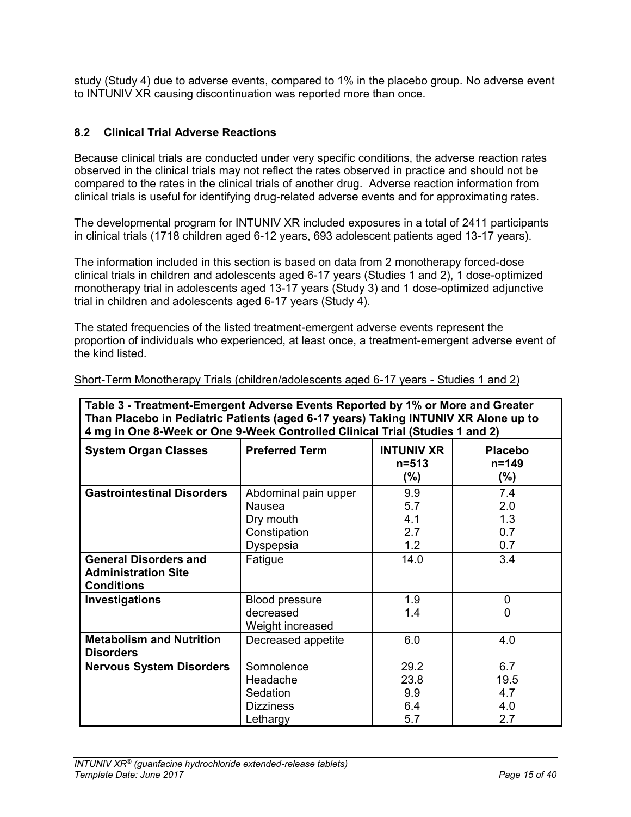study (Study 4) due to adverse events, compared to 1% in the placebo group. No adverse event to INTUNIV XR causing discontinuation was reported more than once.

# <span id="page-14-0"></span>**8.2 Clinical Trial Adverse Reactions**

Because clinical trials are conducted under very specific conditions, the adverse reaction rates observed in the clinical trials may not reflect the rates observed in practice and should not be compared to the rates in the clinical trials of another drug. Adverse reaction information from clinical trials is useful for identifying drug-related adverse events and for approximating rates.

The developmental program for INTUNIV XR included exposures in a total of 2411 participants in clinical trials (1718 children aged 6-12 years, 693 adolescent patients aged 13-17 years).

The information included in this section is based on data from 2 monotherapy forced-dose clinical trials in children and adolescents aged 6-17 years (Studies 1 and 2), 1 dose-optimized monotherapy trial in adolescents aged 13-17 years (Study 3) and 1 dose-optimized adjunctive trial in children and adolescents aged 6-17 years (Study 4).

The stated frequencies of the listed treatment-emergent adverse events represent the proportion of individuals who experienced, at least once, a treatment-emergent adverse event of the kind listed.

| Table 3 - Treatment-Emergent Adverse Events Reported by 1% or More and Greater<br>Than Placebo in Pediatric Patients (aged 6-17 years) Taking INTUNIV XR Alone up to<br>4 mg in One 8-Week or One 9-Week Controlled Clinical Trial (Studies 1 and 2) |                                                                                 |                                           |                                        |  |
|------------------------------------------------------------------------------------------------------------------------------------------------------------------------------------------------------------------------------------------------------|---------------------------------------------------------------------------------|-------------------------------------------|----------------------------------------|--|
| <b>System Organ Classes</b>                                                                                                                                                                                                                          | <b>Preferred Term</b>                                                           | <b>INTUNIV XR</b><br>$n = 513$<br>$(\% )$ | <b>Placebo</b><br>$n = 149$<br>$(\% )$ |  |
| <b>Gastrointestinal Disorders</b>                                                                                                                                                                                                                    | Abdominal pain upper<br><b>Nausea</b><br>Dry mouth<br>Constipation<br>Dyspepsia | 9.9<br>5.7<br>4.1<br>2.7<br>1.2           | 7.4<br>2.0<br>1.3<br>0.7<br>0.7        |  |
| <b>General Disorders and</b><br><b>Administration Site</b><br><b>Conditions</b>                                                                                                                                                                      | Fatigue                                                                         | 14.0                                      | 3.4                                    |  |
| Investigations                                                                                                                                                                                                                                       | <b>Blood pressure</b><br>decreased<br>Weight increased                          | 1.9<br>1.4                                | 0<br>0                                 |  |
| <b>Metabolism and Nutrition</b><br><b>Disorders</b>                                                                                                                                                                                                  | Decreased appetite                                                              | 6.0                                       | 4.0                                    |  |
| <b>Nervous System Disorders</b>                                                                                                                                                                                                                      | Somnolence<br>Headache<br>Sedation<br><b>Dizziness</b><br>Lethargy              | 29.2<br>23.8<br>9.9<br>6.4<br>5.7         | 6.7<br>19.5<br>4.7<br>4.0<br>2.7       |  |

Short-Term Monotherapy Trials (children/adolescents aged 6-17 years - Studies 1 and 2)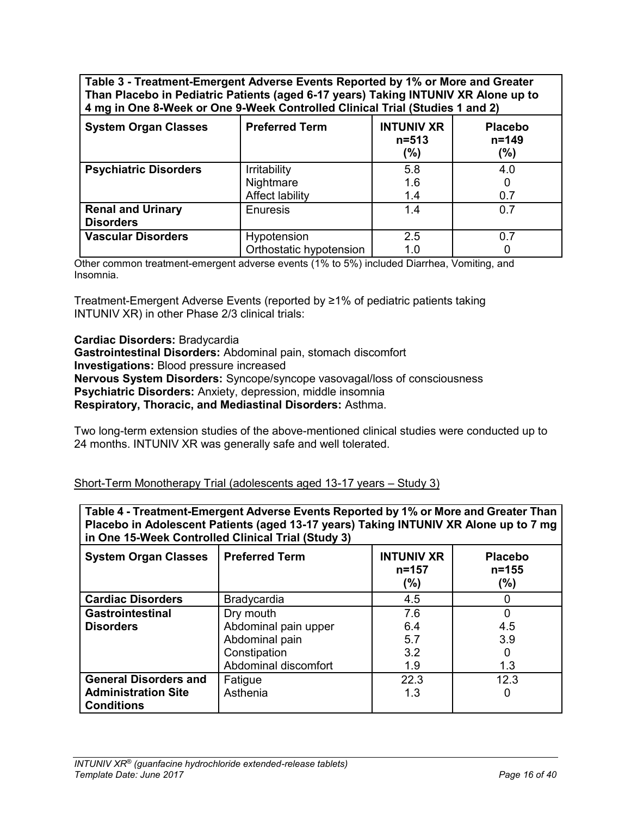**Table 3 - Treatment-Emergent Adverse Events Reported by 1% or More and Greater Than Placebo in Pediatric Patients (aged 6-17 years) Taking INTUNIV XR Alone up to 4 mg in One 8-Week or One 9-Week Controlled Clinical Trial (Studies 1 and 2)**

| <b>System Organ Classes</b>                  | <b>Preferred Term</b>                               | <b>INTUNIV XR</b><br>$n = 513$<br>$(\% )$ | <b>Placebo</b><br>$n = 149$<br>(%) |
|----------------------------------------------|-----------------------------------------------------|-------------------------------------------|------------------------------------|
| <b>Psychiatric Disorders</b>                 | Irritability<br>Nightmare<br><b>Affect lability</b> | 5.8<br>1.6<br>1.4                         | 4.0<br>0.7                         |
| <b>Renal and Urinary</b><br><b>Disorders</b> | Enuresis                                            | 1.4                                       | 0.7                                |
| <b>Vascular Disorders</b>                    | Hypotension<br>Orthostatic hypotension              | 2.5<br>1.0                                | 0.7                                |

Other common treatment-emergent adverse events (1% to 5%) included Diarrhea, Vomiting, and Insomnia.

Treatment-Emergent Adverse Events (reported by ≥1% of pediatric patients taking INTUNIV XR) in other Phase 2/3 clinical trials:

**Cardiac Disorders:** Bradycardia

**Gastrointestinal Disorders:** Abdominal pain, stomach discomfort **Investigations:** Blood pressure increased **Nervous System Disorders:** Syncope/syncope vasovagal/loss of consciousness **Psychiatric Disorders:** Anxiety, depression, middle insomnia **Respiratory, Thoracic, and Mediastinal Disorders:** Asthma.

Two long-term extension studies of the above-mentioned clinical studies were conducted up to 24 months. INTUNIV XR was generally safe and well tolerated.

Short-Term Monotherapy Trial (adolescents aged 13-17 years – Study 3)

**Table 4 - Treatment-Emergent Adverse Events Reported by 1% or More and Greater Than Placebo in Adolescent Patients (aged 13-17 years) Taking INTUNIV XR Alone up to 7 mg in One 15-Week Controlled Clinical Trial (Study 3)**

| <b>System Organ Classes</b>  | <b>Preferred Term</b> | <b>INTUNIV XR</b><br>$n = 157$<br>(%) | <b>Placebo</b><br>$n = 155$<br>$(\%)$ |
|------------------------------|-----------------------|---------------------------------------|---------------------------------------|
| <b>Cardiac Disorders</b>     | <b>Bradycardia</b>    | 4.5                                   | 0                                     |
| <b>Gastrointestinal</b>      | Dry mouth             | 7.6                                   | 0                                     |
| <b>Disorders</b>             | Abdominal pain upper  | 6.4                                   | 4.5                                   |
|                              | Abdominal pain        | 5.7                                   | 3.9                                   |
|                              | Constipation          | 3.2                                   | 0                                     |
|                              | Abdominal discomfort  | 1.9                                   | 1.3                                   |
| <b>General Disorders and</b> | Fatigue               | 22.3                                  | 12.3                                  |
| <b>Administration Site</b>   | Asthenia              | 1.3                                   | 0                                     |
| <b>Conditions</b>            |                       |                                       |                                       |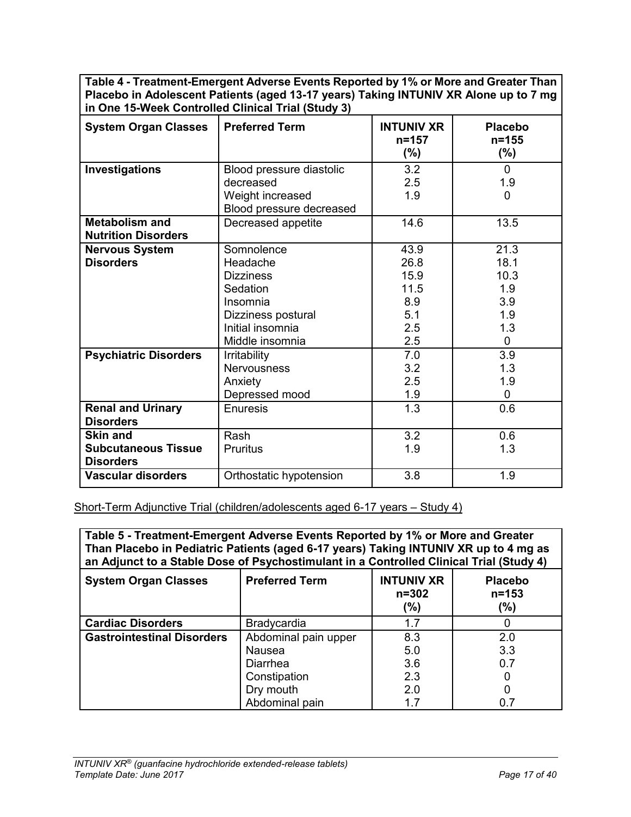**Table 4 - Treatment-Emergent Adverse Events Reported by 1% or More and Greater Than Placebo in Adolescent Patients (aged 13-17 years) Taking INTUNIV XR Alone up to 7 mg in One 15-Week Controlled Clinical Trial (Study 3)**

| <b>System Organ Classes</b>  | <b>Preferred Term</b>    | <b>INTUNIV XR</b><br>$n = 157$<br>$(\% )$ | <b>Placebo</b><br>$n = 155$<br>$(\%)$ |
|------------------------------|--------------------------|-------------------------------------------|---------------------------------------|
|                              |                          |                                           |                                       |
| Investigations               | Blood pressure diastolic | 3.2                                       | $\Omega$                              |
|                              | decreased                | 2.5                                       | 1.9                                   |
|                              | Weight increased         | 1.9                                       | $\mathbf{0}$                          |
|                              | Blood pressure decreased |                                           |                                       |
| <b>Metabolism and</b>        | Decreased appetite       | 14.6                                      | 13.5                                  |
| <b>Nutrition Disorders</b>   |                          |                                           |                                       |
| <b>Nervous System</b>        | Somnolence               | 43.9                                      | 21.3                                  |
| <b>Disorders</b>             | Headache                 | 26.8                                      | 18.1                                  |
|                              | <b>Dizziness</b>         | 15.9                                      | 10.3                                  |
|                              | Sedation                 | 11.5                                      | 1.9                                   |
|                              | Insomnia                 | 8.9                                       | 3.9                                   |
|                              | Dizziness postural       | 5.1                                       | 1.9                                   |
|                              | Initial insomnia         | 2.5                                       | 1.3                                   |
|                              | Middle insomnia          | 2.5                                       | $\mathbf 0$                           |
| <b>Psychiatric Disorders</b> | <b>Irritability</b>      | 7.0                                       | 3.9                                   |
|                              | <b>Nervousness</b>       | 3.2                                       | 1.3                                   |
|                              | Anxiety                  | 2.5                                       | 1.9                                   |
|                              | Depressed mood           | 1.9                                       | $\mathbf 0$                           |
| <b>Renal and Urinary</b>     | Enuresis                 | 1.3                                       | 0.6                                   |
| <b>Disorders</b>             |                          |                                           |                                       |
| <b>Skin and</b>              | Rash                     | 3.2                                       | 0.6                                   |
| <b>Subcutaneous Tissue</b>   | Pruritus                 | 1.9                                       | 1.3                                   |
| <b>Disorders</b>             |                          |                                           |                                       |
| <b>Vascular disorders</b>    | Orthostatic hypotension  | 3.8                                       | 1.9                                   |

Short-Term Adjunctive Trial (children/adolescents aged 6-17 years – Study 4)

**Table 5 - Treatment-Emergent Adverse Events Reported by 1% or More and Greater Than Placebo in Pediatric Patients (aged 6-17 years) Taking INTUNIV XR up to 4 mg as an Adjunct to a Stable Dose of Psychostimulant in a Controlled Clinical Trial (Study 4)**

| <b>System Organ Classes</b>       | <b>Preferred Term</b> | <b>INTUNIV XR</b><br>$n = 302$<br>(%) | <b>Placebo</b><br>$n = 153$<br>(%) |
|-----------------------------------|-----------------------|---------------------------------------|------------------------------------|
| <b>Cardiac Disorders</b>          | Bradycardia           | 1.7                                   |                                    |
| <b>Gastrointestinal Disorders</b> | Abdominal pain upper  | 8.3                                   | 2.0                                |
|                                   | Nausea                | 5.0                                   | 3.3                                |
|                                   | <b>Diarrhea</b>       | 3.6                                   | 0.7                                |
|                                   | Constipation          | 2.3                                   |                                    |
|                                   | Dry mouth             | 2.0                                   |                                    |
|                                   | Abdominal pain        | 1.7                                   | 0.7                                |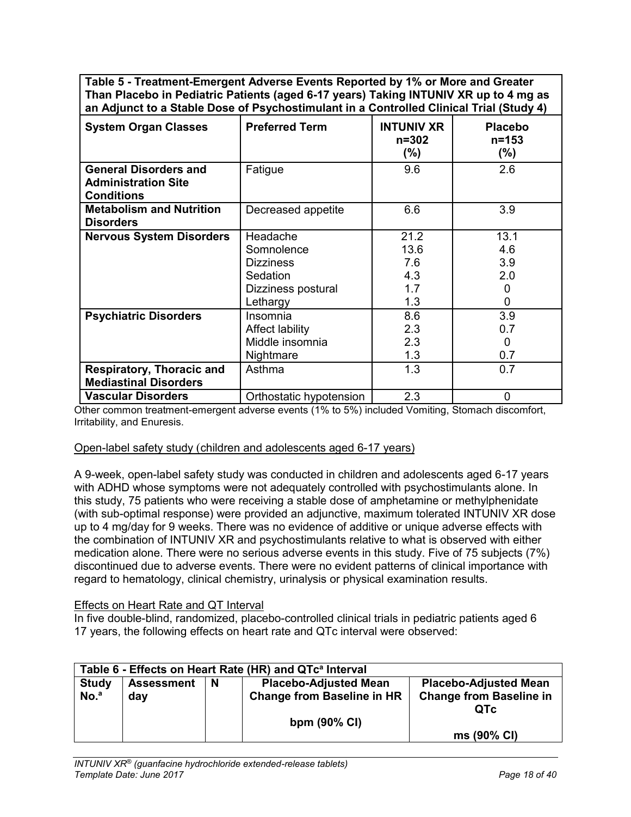**Table 5 - Treatment-Emergent Adverse Events Reported by 1% or More and Greater Than Placebo in Pediatric Patients (aged 6-17 years) Taking INTUNIV XR up to 4 mg as an Adjunct to a Stable Dose of Psychostimulant in a Controlled Clinical Trial (Study 4)**

| <b>System Organ Classes</b>                                                     | <b>Preferred Term</b>                                                                    | <b>INTUNIV XR</b><br>$n = 302$<br>$(\% )$ | <b>Placebo</b><br>$n = 153$<br>$(\% )$ |
|---------------------------------------------------------------------------------|------------------------------------------------------------------------------------------|-------------------------------------------|----------------------------------------|
| <b>General Disorders and</b><br><b>Administration Site</b><br><b>Conditions</b> | Fatigue                                                                                  | 9.6                                       | 2.6                                    |
| <b>Metabolism and Nutrition</b><br><b>Disorders</b>                             | Decreased appetite                                                                       | 6.6                                       | 3.9                                    |
| <b>Nervous System Disorders</b>                                                 | Headache<br>Somnolence<br><b>Dizziness</b><br>Sedation<br>Dizziness postural<br>Lethargy | 21.2<br>13.6<br>7.6<br>4.3<br>1.7<br>1.3  | 13.1<br>4.6<br>3.9<br>2.0<br>0<br>0    |
| <b>Psychiatric Disorders</b>                                                    | Insomnia<br>Affect lability<br>Middle insomnia<br>Nightmare                              | 8.6<br>2.3<br>2.3<br>1.3                  | 3.9<br>0.7<br>0<br>0.7                 |
| <b>Respiratory, Thoracic and</b><br><b>Mediastinal Disorders</b>                | Asthma                                                                                   | 1.3                                       | 0.7                                    |
| <b>Vascular Disorders</b>                                                       | Orthostatic hypotension                                                                  | 2.3                                       | $\overline{0}$                         |

Other common treatment-emergent adverse events (1% to 5%) included Vomiting, Stomach discomfort, Irritability, and Enuresis.

#### Open-label safety study (children and adolescents aged 6-17 years)

A 9-week, open-label safety study was conducted in children and adolescents aged 6-17 years with ADHD whose symptoms were not adequately controlled with psychostimulants alone. In this study, 75 patients who were receiving a stable dose of amphetamine or methylphenidate (with sub-optimal response) were provided an adjunctive, maximum tolerated INTUNIV XR dose up to 4 mg/day for 9 weeks. There was no evidence of additive or unique adverse effects with the combination of INTUNIV XR and psychostimulants relative to what is observed with either medication alone. There were no serious adverse events in this study. Five of 75 subjects (7%) discontinued due to adverse events. There were no evident patterns of clinical importance with regard to hematology, clinical chemistry, urinalysis or physical examination results.

#### Effects on Heart Rate and QT Interval

In five double-blind, randomized, placebo-controlled clinical trials in pediatric patients aged 6 17 years, the following effects on heart rate and QTc interval were observed:

|                  | Table 6 - Effects on Heart Rate (HR) and QTc <sup>a</sup> Interval |          |                                   |                                |  |  |
|------------------|--------------------------------------------------------------------|----------|-----------------------------------|--------------------------------|--|--|
| <b>Study</b>     | <b>Assessment</b>                                                  | <b>N</b> | <b>Placebo-Adjusted Mean</b>      | <b>Placebo-Adjusted Mean</b>   |  |  |
| No. <sup>a</sup> | day                                                                |          | <b>Change from Baseline in HR</b> | <b>Change from Baseline in</b> |  |  |
|                  |                                                                    |          |                                   | <b>QTC</b>                     |  |  |
|                  |                                                                    |          | bpm $(90\% \text{ Cl})$           |                                |  |  |
|                  |                                                                    |          |                                   | ms (90% CI)                    |  |  |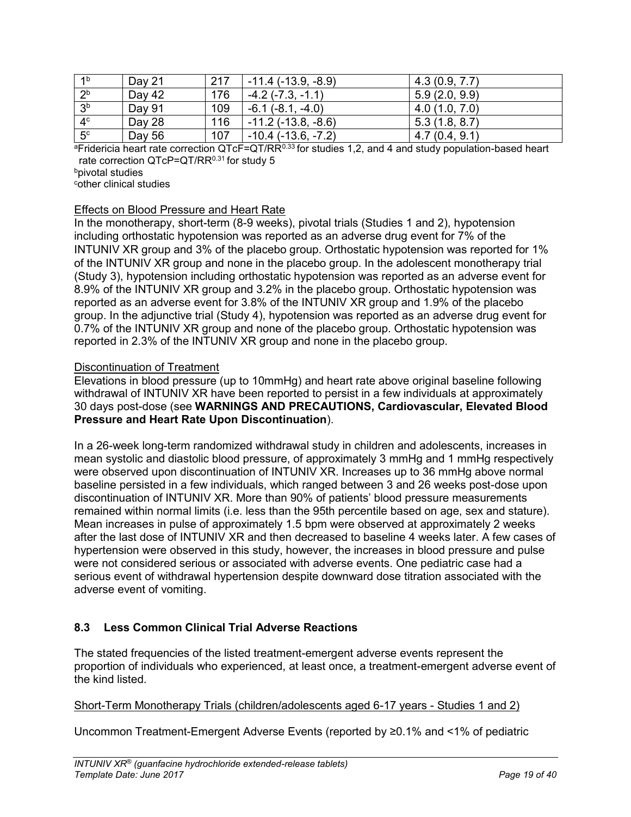| 1 <sup>b</sup> | Day 21 | 217 | $-11.4$ ( $-13.9$ , $-8.9$ ) | 4.3(0.9, 7.7) |
|----------------|--------|-----|------------------------------|---------------|
| 2 <sup>b</sup> | Day 42 | 176 | $-4.2$ ( $-7.3$ , $-1.1$ )   | 5.9(2.0, 9.9) |
| 3 <sup>b</sup> | Day 91 | 109 | $-6.1$ $(-8.1, -4.0)$        | 4.0(1.0, 7.0) |
| 4 <sup>c</sup> | Day 28 | 116 | $-11.2$ ( $-13.8$ , $-8.6$ ) | 5.3(1.8, 8.7) |
| 5 <sup>c</sup> | Day 56 | 107 | $-10.4$ ( $-13.6$ , $-7.2$ ) | 4.7(0.4, 9.1) |

 $aF$ ridericia heart rate correction QTcF=QT/RR $0.33$  for studies 1,2, and 4 and study population-based heart rate correction QTcP=QT/RR<sup>0.31</sup> for study 5

bpivotal studies

<sup>c</sup>other clinical studies

## Effects on Blood Pressure and Heart Rate

In the monotherapy, short-term (8-9 weeks), pivotal trials (Studies 1 and 2), hypotension including orthostatic hypotension was reported as an adverse drug event for 7% of the INTUNIV XR group and 3% of the placebo group. Orthostatic hypotension was reported for 1% of the INTUNIV XR group and none in the placebo group. In the adolescent monotherapy trial (Study 3), hypotension including orthostatic hypotension was reported as an adverse event for 8.9% of the INTUNIV XR group and 3.2% in the placebo group. Orthostatic hypotension was reported as an adverse event for 3.8% of the INTUNIV XR group and 1.9% of the placebo group. In the adjunctive trial (Study 4), hypotension was reported as an adverse drug event for 0.7% of the INTUNIV XR group and none of the placebo group. Orthostatic hypotension was reported in 2.3% of the INTUNIV XR group and none in the placebo group.

# Discontinuation of Treatment

Elevations in blood pressure (up to 10mmHg) and heart rate above original baseline following withdrawal of INTUNIV XR have been reported to persist in a few individuals at approximately 30 days post-dose (see **WARNINGS AND PRECAUTIONS, Cardiovascular, Elevated Blood Pressure and Heart Rate Upon Discontinuation**).

In a 26-week long-term randomized withdrawal study in children and adolescents, increases in mean systolic and diastolic blood pressure, of approximately 3 mmHg and 1 mmHg respectively were observed upon discontinuation of INTUNIV XR. Increases up to 36 mmHg above normal baseline persisted in a few individuals, which ranged between 3 and 26 weeks post-dose upon discontinuation of INTUNIV XR. More than 90% of patients' blood pressure measurements remained within normal limits (i.e. less than the 95th percentile based on age, sex and stature). Mean increases in pulse of approximately 1.5 bpm were observed at approximately 2 weeks after the last dose of INTUNIV XR and then decreased to baseline 4 weeks later. A few cases of hypertension were observed in this study, however, the increases in blood pressure and pulse were not considered serious or associated with adverse events. One pediatric case had a serious event of withdrawal hypertension despite downward dose titration associated with the adverse event of vomiting.

# <span id="page-18-0"></span>**8.3 Less Common Clinical Trial Adverse Reactions**

The stated frequencies of the listed treatment-emergent adverse events represent the proportion of individuals who experienced, at least once, a treatment-emergent adverse event of the kind listed.

## Short-Term Monotherapy Trials (children/adolescents aged 6-17 years - Studies 1 and 2)

Uncommon Treatment-Emergent Adverse Events (reported by ≥0.1% and <1% of pediatric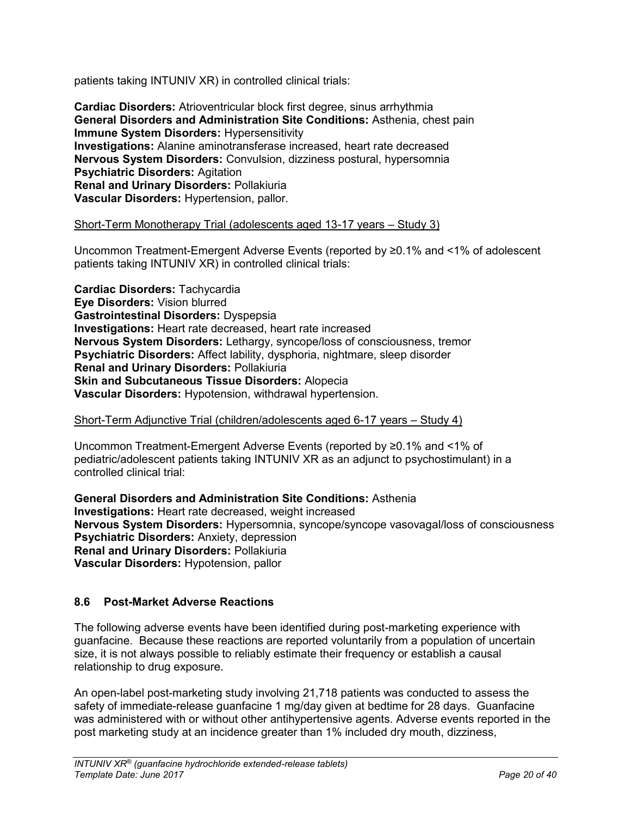patients taking INTUNIV XR) in controlled clinical trials:

**Cardiac Disorders:** Atrioventricular block first degree, sinus arrhythmia **General Disorders and Administration Site Conditions:** Asthenia, chest pain **Immune System Disorders: Hypersensitivity Investigations:** Alanine aminotransferase increased, heart rate decreased **Nervous System Disorders:** Convulsion, dizziness postural, hypersomnia **Psychiatric Disorders:** Agitation **Renal and Urinary Disorders:** Pollakiuria **Vascular Disorders:** Hypertension, pallor.

### Short-Term Monotherapy Trial (adolescents aged 13-17 years – Study 3)

Uncommon Treatment-Emergent Adverse Events (reported by ≥0.1% and <1% of adolescent patients taking INTUNIV XR) in controlled clinical trials:

**Cardiac Disorders:** Tachycardia **Eye Disorders:** Vision blurred **Gastrointestinal Disorders:** Dyspepsia **Investigations:** Heart rate decreased, heart rate increased **Nervous System Disorders:** Lethargy, syncope/loss of consciousness, tremor **Psychiatric Disorders:** Affect lability, dysphoria, nightmare, sleep disorder **Renal and Urinary Disorders:** Pollakiuria **Skin and Subcutaneous Tissue Disorders:** Alopecia **Vascular Disorders:** Hypotension, withdrawal hypertension.

#### Short-Term Adjunctive Trial (children/adolescents aged 6-17 years – Study 4)

Uncommon Treatment-Emergent Adverse Events (reported by ≥0.1% and <1% of pediatric/adolescent patients taking INTUNIV XR as an adjunct to psychostimulant) in a controlled clinical trial:

**General Disorders and Administration Site Conditions:** Asthenia **Investigations:** Heart rate decreased, weight increased **Nervous System Disorders:** Hypersomnia, syncope/syncope vasovagal/loss of consciousness **Psychiatric Disorders:** Anxiety, depression **Renal and Urinary Disorders:** Pollakiuria **Vascular Disorders:** Hypotension, pallor

## <span id="page-19-0"></span>**8.6 Post-Market Adverse Reactions**

The following adverse events have been identified during post-marketing experience with guanfacine. Because these reactions are reported voluntarily from a population of uncertain size, it is not always possible to reliably estimate their frequency or establish a causal relationship to drug exposure.

An open-label post-marketing study involving 21,718 patients was conducted to assess the safety of immediate-release guanfacine 1 mg/day given at bedtime for 28 days. Guanfacine was administered with or without other antihypertensive agents. Adverse events reported in the post marketing study at an incidence greater than 1% included dry mouth, dizziness,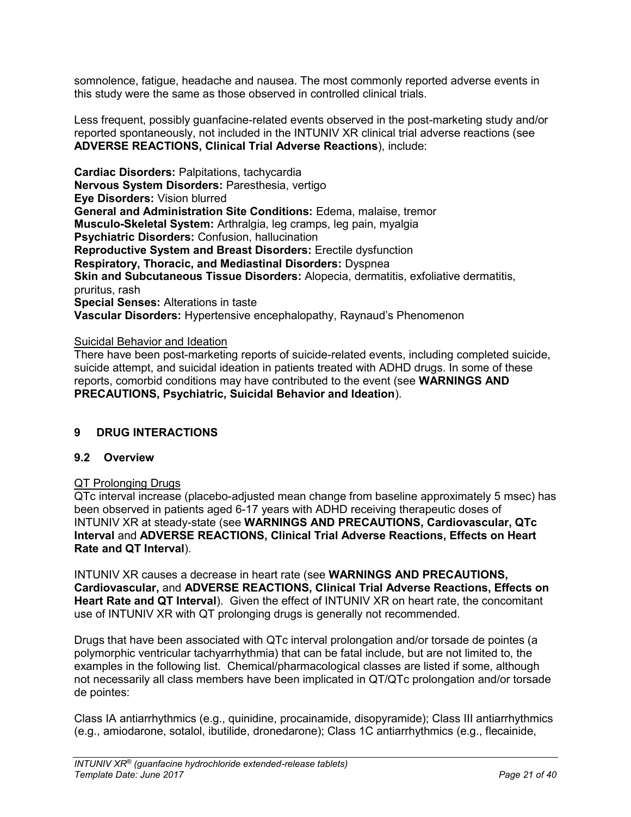somnolence, fatigue, headache and nausea. The most commonly reported adverse events in this study were the same as those observed in controlled clinical trials.

Less frequent, possibly guanfacine-related events observed in the post-marketing study and/or reported spontaneously, not included in the INTUNIV XR clinical trial adverse reactions (see **ADVERSE REACTIONS, Clinical Trial Adverse Reactions**), include:

**Cardiac Disorders:** Palpitations, tachycardia **Nervous System Disorders:** Paresthesia, vertigo **Eye Disorders:** Vision blurred **General and Administration Site Conditions:** Edema, malaise, tremor **Musculo-Skeletal System:** Arthralgia, leg cramps, leg pain, myalgia **Psychiatric Disorders:** Confusion, hallucination **Reproductive System and Breast Disorders:** Erectile dysfunction **Respiratory, Thoracic, and Mediastinal Disorders:** Dyspnea **Skin and Subcutaneous Tissue Disorders:** Alopecia, dermatitis, exfoliative dermatitis, pruritus, rash **Special Senses:** Alterations in taste **Vascular Disorders:** Hypertensive encephalopathy, Raynaud's Phenomenon

Suicidal Behavior and Ideation

There have been post-marketing reports of suicide-related events, including completed suicide, suicide attempt, and suicidal ideation in patients treated with ADHD drugs. In some of these reports, comorbid conditions may have contributed to the event (see **WARNINGS AND PRECAUTIONS, Psychiatric, Suicidal Behavior and Ideation**).

## <span id="page-20-0"></span>**9 DRUG INTERACTIONS**

## <span id="page-20-1"></span>**9.2 Overview**

#### QT Prolonging Drugs

QTc interval increase (placebo-adjusted mean change from baseline approximately 5 msec) has been observed in patients aged 6-17 years with ADHD receiving therapeutic doses of INTUNIV XR at steady-state (see **WARNINGS AND PRECAUTIONS, Cardiovascular, QTc Interval** and **ADVERSE REACTIONS, Clinical Trial Adverse Reactions, Effects on Heart Rate and QT Interval**).

INTUNIV XR causes a decrease in heart rate (see **WARNINGS AND PRECAUTIONS, Cardiovascular,** and **ADVERSE REACTIONS, Clinical Trial Adverse Reactions, Effects on Heart Rate and QT Interval**). Given the effect of INTUNIV XR on heart rate, the concomitant use of INTUNIV XR with QT prolonging drugs is generally not recommended.

Drugs that have been associated with QTc interval prolongation and/or torsade de pointes (a polymorphic ventricular tachyarrhythmia) that can be fatal include, but are not limited to, the examples in the following list. Chemical/pharmacological classes are listed if some, although not necessarily all class members have been implicated in QT/QTc prolongation and/or torsade de pointes:

Class IA antiarrhythmics (e.g., quinidine, procainamide, disopyramide); Class III antiarrhythmics (e.g., amiodarone, sotalol, ibutilide, dronedarone); Class 1C antiarrhythmics (e.g., flecainide,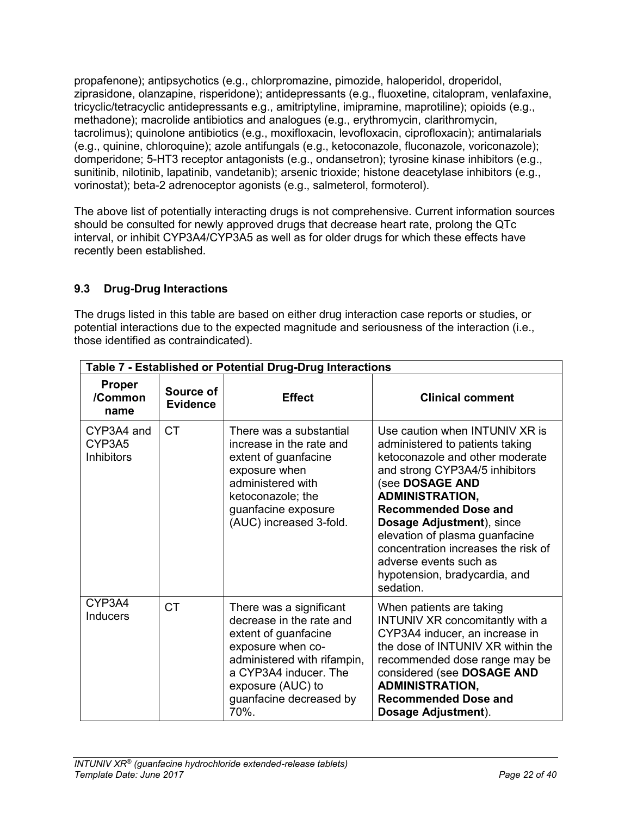propafenone); antipsychotics (e.g., chlorpromazine, pimozide, haloperidol, droperidol, ziprasidone, olanzapine, risperidone); antidepressants (e.g., fluoxetine, citalopram, venlafaxine, tricyclic/tetracyclic antidepressants e.g., amitriptyline, imipramine, maprotiline); opioids (e.g., methadone); macrolide antibiotics and analogues (e.g., erythromycin, clarithromycin, tacrolimus); quinolone antibiotics (e.g., moxifloxacin, levofloxacin, ciprofloxacin); antimalarials (e.g., quinine, chloroquine); azole antifungals (e.g., ketoconazole, fluconazole, voriconazole); domperidone; 5-HT3 receptor antagonists (e.g., ondansetron); tyrosine kinase inhibitors (e.g., sunitinib, nilotinib, lapatinib, vandetanib); arsenic trioxide; histone deacetylase inhibitors (e.g., vorinostat); beta-2 adrenoceptor agonists (e.g., salmeterol, formoterol).

The above list of potentially interacting drugs is not comprehensive. Current information sources should be consulted for newly approved drugs that decrease heart rate, prolong the QTc interval, or inhibit CYP3A4/CYP3A5 as well as for older drugs for which these effects have recently been established.

# <span id="page-21-0"></span>**9.3 Drug-Drug Interactions**

The drugs listed in this table are based on either drug interaction case reports or studies, or potential interactions due to the expected magnitude and seriousness of the interaction (i.e., those identified as contraindicated).

|                                           | Table 7 - Established or Potential Drug-Drug Interactions |                                                                                                                                                                                                                  |                                                                                                                                                                                                                                                                                                                                                                                                  |  |
|-------------------------------------------|-----------------------------------------------------------|------------------------------------------------------------------------------------------------------------------------------------------------------------------------------------------------------------------|--------------------------------------------------------------------------------------------------------------------------------------------------------------------------------------------------------------------------------------------------------------------------------------------------------------------------------------------------------------------------------------------------|--|
| <b>Proper</b><br>/Common<br>name          | Source of<br><b>Evidence</b>                              | <b>Effect</b>                                                                                                                                                                                                    | <b>Clinical comment</b>                                                                                                                                                                                                                                                                                                                                                                          |  |
| CYP3A4 and<br>CYP3A5<br><b>Inhibitors</b> | <b>CT</b>                                                 | There was a substantial<br>increase in the rate and<br>extent of guanfacine<br>exposure when<br>administered with<br>ketoconazole; the<br>guanfacine exposure<br>(AUC) increased 3-fold.                         | Use caution when INTUNIV XR is<br>administered to patients taking<br>ketoconazole and other moderate<br>and strong CYP3A4/5 inhibitors<br>(see DOSAGE AND<br><b>ADMINISTRATION,</b><br><b>Recommended Dose and</b><br>Dosage Adjustment), since<br>elevation of plasma guanfacine<br>concentration increases the risk of<br>adverse events such as<br>hypotension, bradycardia, and<br>sedation. |  |
| CYP3A4<br><b>Inducers</b>                 | <b>CT</b>                                                 | There was a significant<br>decrease in the rate and<br>extent of guanfacine<br>exposure when co-<br>administered with rifampin,<br>a CYP3A4 inducer. The<br>exposure (AUC) to<br>guanfacine decreased by<br>70%. | When patients are taking<br>INTUNIV XR concomitantly with a<br>CYP3A4 inducer, an increase in<br>the dose of INTUNIV XR within the<br>recommended dose range may be<br>considered (see DOSAGE AND<br><b>ADMINISTRATION,</b><br><b>Recommended Dose and</b><br>Dosage Adjustment).                                                                                                                |  |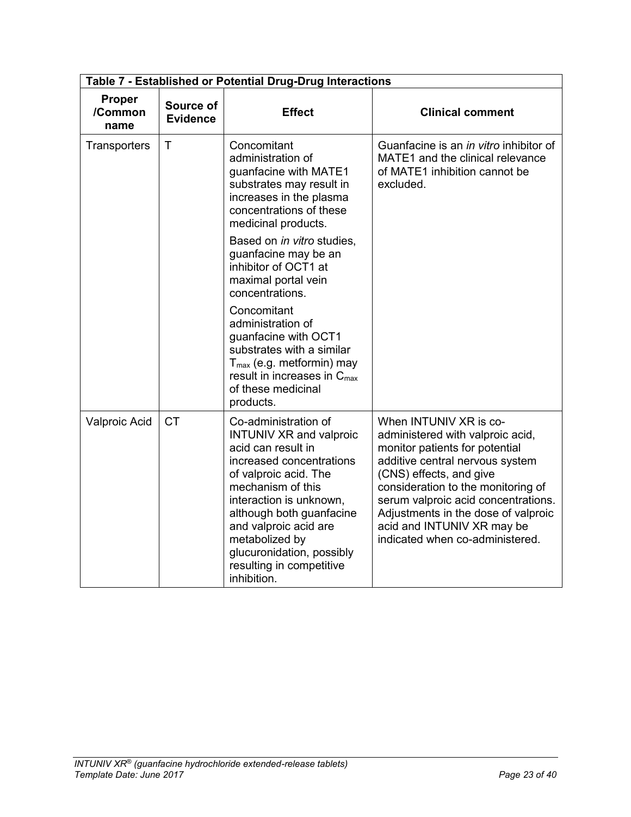|                                  | Table 7 - Established or Potential Drug-Drug Interactions |                                                                                                                                                                                                                                                                                                                                  |                                                                                                                                                                                                                                                                                                                                                 |  |  |
|----------------------------------|-----------------------------------------------------------|----------------------------------------------------------------------------------------------------------------------------------------------------------------------------------------------------------------------------------------------------------------------------------------------------------------------------------|-------------------------------------------------------------------------------------------------------------------------------------------------------------------------------------------------------------------------------------------------------------------------------------------------------------------------------------------------|--|--|
| <b>Proper</b><br>/Common<br>name | Source of<br><b>Evidence</b>                              | <b>Effect</b>                                                                                                                                                                                                                                                                                                                    | <b>Clinical comment</b>                                                                                                                                                                                                                                                                                                                         |  |  |
| Transporters                     | $\mathsf{T}$                                              | Concomitant<br>administration of<br>guanfacine with MATE1<br>substrates may result in<br>increases in the plasma<br>concentrations of these<br>medicinal products.<br>Based on in vitro studies,                                                                                                                                 | Guanfacine is an <i>in vitro</i> inhibitor of<br>MATE1 and the clinical relevance<br>of MATE1 inhibition cannot be<br>excluded.                                                                                                                                                                                                                 |  |  |
|                                  |                                                           | guanfacine may be an<br>inhibitor of OCT1 at<br>maximal portal vein<br>concentrations.                                                                                                                                                                                                                                           |                                                                                                                                                                                                                                                                                                                                                 |  |  |
|                                  |                                                           | Concomitant<br>administration of<br>guanfacine with OCT1<br>substrates with a similar<br>$T_{\text{max}}$ (e.g. metformin) may<br>result in increases in $C_{\text{max}}$<br>of these medicinal<br>products.                                                                                                                     |                                                                                                                                                                                                                                                                                                                                                 |  |  |
| Valproic Acid                    | <b>CT</b>                                                 | Co-administration of<br><b>INTUNIV XR and valproic</b><br>acid can result in<br>increased concentrations<br>of valproic acid. The<br>mechanism of this<br>interaction is unknown,<br>although both guanfacine<br>and valproic acid are<br>metabolized by<br>glucuronidation, possibly<br>resulting in competitive<br>inhibition. | When INTUNIV XR is co-<br>administered with valproic acid,<br>monitor patients for potential<br>additive central nervous system<br>(CNS) effects, and give<br>consideration to the monitoring of<br>serum valproic acid concentrations.<br>Adjustments in the dose of valproic<br>acid and INTUNIV XR may be<br>indicated when co-administered. |  |  |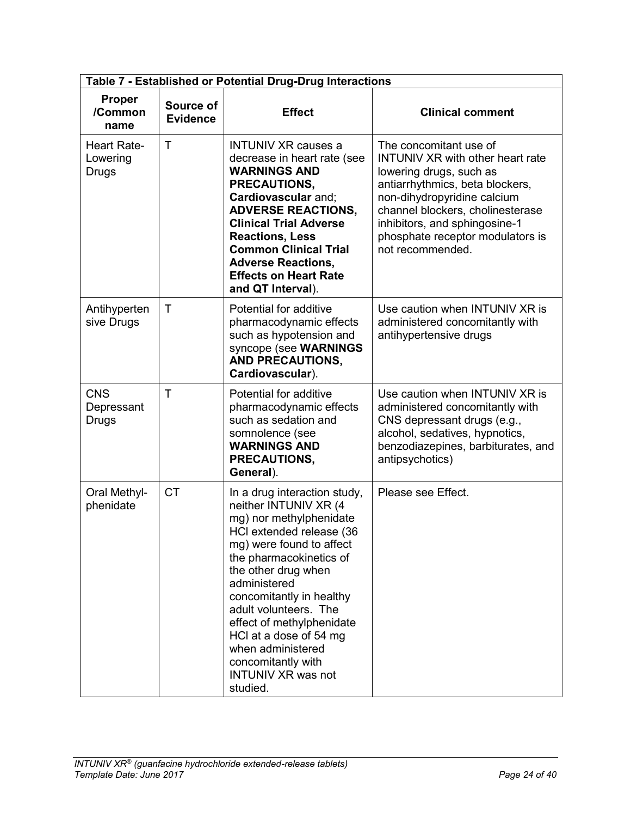| Table 7 - Established or Potential Drug-Drug Interactions |                              |                                                                                                                                                                                                                                                                                                                                                                                                            |                                                                                                                                                                                                                                                                                             |  |
|-----------------------------------------------------------|------------------------------|------------------------------------------------------------------------------------------------------------------------------------------------------------------------------------------------------------------------------------------------------------------------------------------------------------------------------------------------------------------------------------------------------------|---------------------------------------------------------------------------------------------------------------------------------------------------------------------------------------------------------------------------------------------------------------------------------------------|--|
| <b>Proper</b><br>/Common<br>name                          | Source of<br><b>Evidence</b> | <b>Effect</b>                                                                                                                                                                                                                                                                                                                                                                                              | <b>Clinical comment</b>                                                                                                                                                                                                                                                                     |  |
| <b>Heart Rate-</b><br>Lowering<br>Drugs                   | $\top$                       | <b>INTUNIV XR causes a</b><br>decrease in heart rate (see<br><b>WARNINGS AND</b><br>PRECAUTIONS,<br>Cardiovascular and;<br><b>ADVERSE REACTIONS,</b><br><b>Clinical Trial Adverse</b><br><b>Reactions, Less</b><br><b>Common Clinical Trial</b><br><b>Adverse Reactions,</b><br><b>Effects on Heart Rate</b><br>and QT Interval).                                                                          | The concomitant use of<br><b>INTUNIV XR with other heart rate</b><br>lowering drugs, such as<br>antiarrhythmics, beta blockers,<br>non-dihydropyridine calcium<br>channel blockers, cholinesterase<br>inhibitors, and sphingosine-1<br>phosphate receptor modulators is<br>not recommended. |  |
| Antihyperten<br>sive Drugs                                | $\mathsf{T}$                 | Potential for additive<br>pharmacodynamic effects<br>such as hypotension and<br>syncope (see WARNINGS<br><b>AND PRECAUTIONS,</b><br>Cardiovascular).                                                                                                                                                                                                                                                       | Use caution when INTUNIV XR is<br>administered concomitantly with<br>antihypertensive drugs                                                                                                                                                                                                 |  |
| <b>CNS</b><br>Depressant<br>Drugs                         | $\top$                       | Potential for additive<br>pharmacodynamic effects<br>such as sedation and<br>somnolence (see<br><b>WARNINGS AND</b><br>PRECAUTIONS,<br>General).                                                                                                                                                                                                                                                           | Use caution when INTUNIV XR is<br>administered concomitantly with<br>CNS depressant drugs (e.g.,<br>alcohol, sedatives, hypnotics,<br>benzodiazepines, barbiturates, and<br>antipsychotics)                                                                                                 |  |
| Oral Methyl-<br>phenidate                                 | <b>CT</b>                    | In a drug interaction study,<br>neither INTUNIV XR (4<br>mg) nor methylphenidate<br>HCl extended release (36<br>mg) were found to affect<br>the pharmacokinetics of<br>the other drug when<br>administered<br>concomitantly in healthy<br>adult volunteers. The<br>effect of methylphenidate<br>HCl at a dose of 54 mg<br>when administered<br>concomitantly with<br><b>INTUNIV XR was not</b><br>studied. | Please see Effect.                                                                                                                                                                                                                                                                          |  |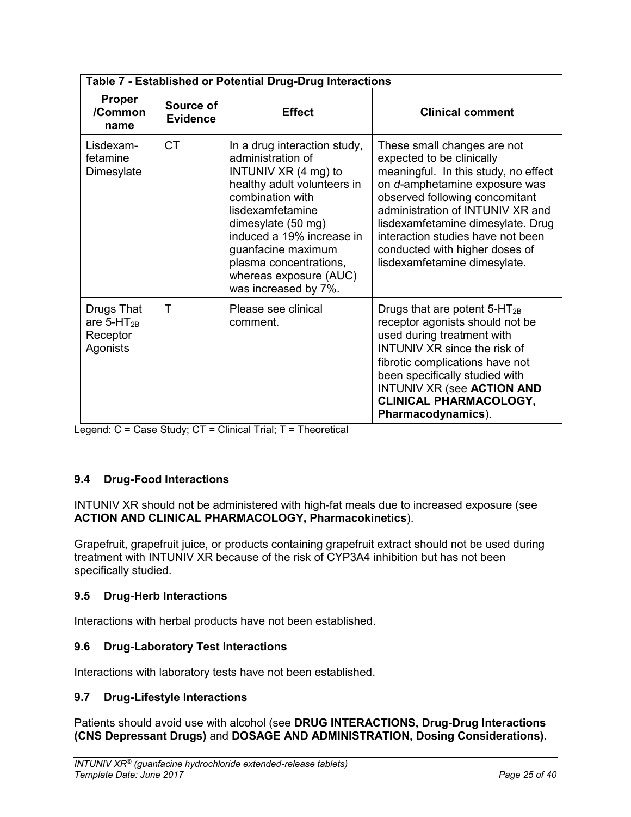|                                                       | Table 7 - Established or Potential Drug-Drug Interactions |                                                                                                                                                                                                                                                                                                         |                                                                                                                                                                                                                                                                                                                                                     |  |
|-------------------------------------------------------|-----------------------------------------------------------|---------------------------------------------------------------------------------------------------------------------------------------------------------------------------------------------------------------------------------------------------------------------------------------------------------|-----------------------------------------------------------------------------------------------------------------------------------------------------------------------------------------------------------------------------------------------------------------------------------------------------------------------------------------------------|--|
| <b>Proper</b><br>/Common<br>name                      | Source of<br><b>Evidence</b>                              | <b>Effect</b>                                                                                                                                                                                                                                                                                           | <b>Clinical comment</b>                                                                                                                                                                                                                                                                                                                             |  |
| Lisdexam-<br>fetamine<br>Dimesylate                   | <b>CT</b>                                                 | In a drug interaction study,<br>administration of<br>INTUNIV $XR$ (4 mg) to<br>healthy adult volunteers in<br>combination with<br>lisdexamfetamine<br>dimesylate (50 mg)<br>induced a 19% increase in<br>guanfacine maximum<br>plasma concentrations,<br>whereas exposure (AUC)<br>was increased by 7%. | These small changes are not<br>expected to be clinically<br>meaningful. In this study, no effect<br>on d-amphetamine exposure was<br>observed following concomitant<br>administration of INTUNIV XR and<br>lisdexamfetamine dimesylate. Drug<br>interaction studies have not been<br>conducted with higher doses of<br>lisdexamfetamine dimesylate. |  |
| Drugs That<br>are $5-HT_{2B}$<br>Receptor<br>Agonists | $\mathsf T$                                               | Please see clinical<br>comment.                                                                                                                                                                                                                                                                         | Drugs that are potent $5-HT_{2B}$<br>receptor agonists should not be<br>used during treatment with<br><b>INTUNIV XR since the risk of</b><br>fibrotic complications have not<br>been specifically studied with<br>INTUNIV XR (see ACTION AND<br><b>CLINICAL PHARMACOLOGY,</b><br>Pharmacodynamics).                                                 |  |

Legend: C = Case Study; CT = Clinical Trial; T = Theoretical

# <span id="page-24-0"></span>**9.4 Drug-Food Interactions**

INTUNIV XR should not be administered with high-fat meals due to increased exposure (see **ACTION AND CLINICAL PHARMACOLOGY, Pharmacokinetics**).

Grapefruit, grapefruit juice, or products containing grapefruit extract should not be used during treatment with INTUNIV XR because of the risk of CYP3A4 inhibition but has not been specifically studied.

## <span id="page-24-1"></span>**9.5 Drug-Herb Interactions**

Interactions with herbal products have not been established.

## <span id="page-24-2"></span>**9.6 Drug-Laboratory Test Interactions**

<span id="page-24-3"></span>Interactions with laboratory tests have not been established.

## **9.7 Drug-Lifestyle Interactions**

Patients should avoid use with alcohol (see **DRUG INTERACTIONS, Drug-Drug Interactions (CNS Depressant Drugs)** and **DOSAGE AND ADMINISTRATION, Dosing Considerations).**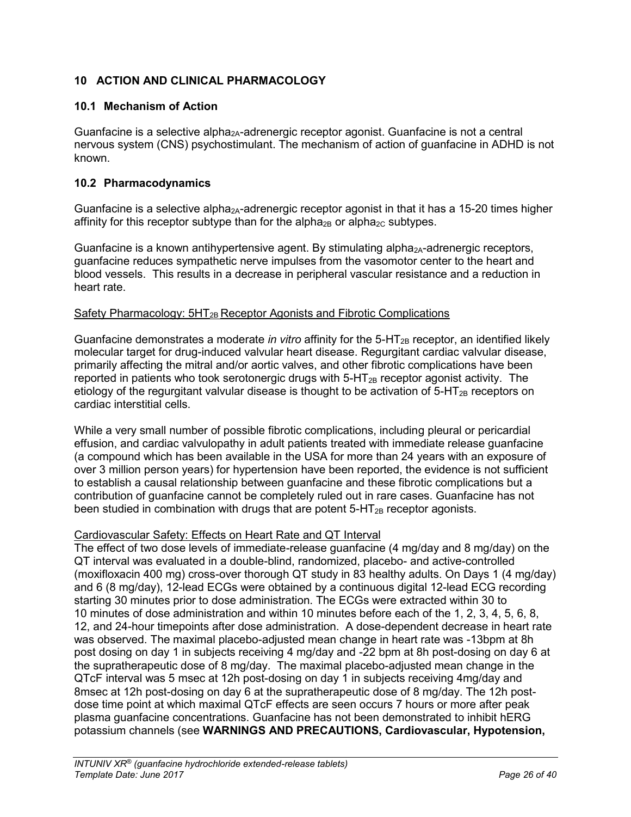# <span id="page-25-0"></span>**10 ACTION AND CLINICAL PHARMACOLOGY**

# <span id="page-25-1"></span>**10.1 Mechanism of Action**

Guanfacine is a selective alpha<sub>2A</sub>-adrenergic receptor agonist. Guanfacine is not a central nervous system (CNS) psychostimulant. The mechanism of action of guanfacine in ADHD is not known.

# <span id="page-25-2"></span>**10.2 Pharmacodynamics**

Guanfacine is a selective alpha<sub>2A</sub>-adrenergic receptor agonist in that it has a 15-20 times higher affinity for this receptor subtype than for the alpha<sub>2B</sub> or alpha<sub>2C</sub> subtypes.

Guanfacine is a known antihypertensive agent. By stimulating alpha<sub>2A</sub>-adrenergic receptors, guanfacine reduces sympathetic nerve impulses from the vasomotor center to the heart and blood vessels. This results in a decrease in peripheral vascular resistance and a reduction in heart rate.

## Safety Pharmacology: 5HT<sub>2B</sub> Receptor Agonists and Fibrotic Complications

Guanfacine demonstrates a moderate *in vitro* affinity for the 5-HT<sub>2B</sub> receptor, an identified likely molecular target for drug-induced valvular heart disease. Regurgitant cardiac valvular disease, primarily affecting the mitral and/or aortic valves, and other fibrotic complications have been reported in patients who took serotonergic drugs with  $5-\text{HT}_{2B}$  receptor agonist activity. The etiology of the regurgitant valvular disease is thought to be activation of  $5-HT_{2B}$  receptors on cardiac interstitial cells.

While a very small number of possible fibrotic complications, including pleural or pericardial effusion, and cardiac valvulopathy in adult patients treated with immediate release guanfacine (a compound which has been available in the USA for more than 24 years with an exposure of over 3 million person years) for hypertension have been reported, the evidence is not sufficient to establish a causal relationship between guanfacine and these fibrotic complications but a contribution of guanfacine cannot be completely ruled out in rare cases. Guanfacine has not been studied in combination with drugs that are potent  $5-HT_{2B}$  receptor agonists.

## Cardiovascular Safety: Effects on Heart Rate and QT Interval

The effect of two dose levels of immediate-release guanfacine (4 mg/day and 8 mg/day) on the QT interval was evaluated in a double-blind, randomized, placebo- and active-controlled (moxifloxacin 400 mg) cross-over thorough QT study in 83 healthy adults. On Days 1 (4 mg/day) and 6 (8 mg/day), 12-lead ECGs were obtained by a continuous digital 12-lead ECG recording starting 30 minutes prior to dose administration. The ECGs were extracted within 30 to 10 minutes of dose administration and within 10 minutes before each of the 1, 2, 3, 4, 5, 6, 8, 12, and 24-hour timepoints after dose administration. A dose-dependent decrease in heart rate was observed. The maximal placebo-adjusted mean change in heart rate was -13bpm at 8h post dosing on day 1 in subjects receiving 4 mg/day and -22 bpm at 8h post-dosing on day 6 at the supratherapeutic dose of 8 mg/day. The maximal placebo-adjusted mean change in the QTcF interval was 5 msec at 12h post-dosing on day 1 in subjects receiving 4mg/day and 8msec at 12h post-dosing on day 6 at the supratherapeutic dose of 8 mg/day. The 12h postdose time point at which maximal QTcF effects are seen occurs 7 hours or more after peak plasma guanfacine concentrations. Guanfacine has not been demonstrated to inhibit hERG potassium channels (see **WARNINGS AND PRECAUTIONS, Cardiovascular, Hypotension,**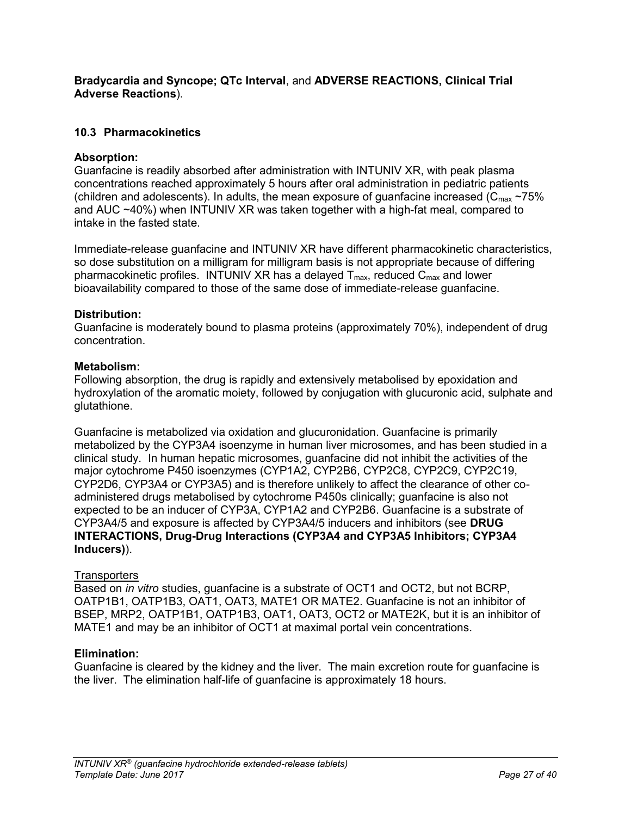## **Bradycardia and Syncope; QTc Interval**, and **ADVERSE REACTIONS, Clinical Trial Adverse Reactions**).

# <span id="page-26-0"></span>**10.3 Pharmacokinetics**

## **Absorption:**

Guanfacine is readily absorbed after administration with INTUNIV XR, with peak plasma concentrations reached approximately 5 hours after oral administration in pediatric patients (children and adolescents). In adults, the mean exposure of guanfacine increased ( $C_{\text{max}}$  ~75% and AUC ~40%) when INTUNIV XR was taken together with a high-fat meal, compared to intake in the fasted state.

Immediate-release guanfacine and INTUNIV XR have different pharmacokinetic characteristics, so dose substitution on a milligram for milligram basis is not appropriate because of differing pharmacokinetic profiles. INTUNIV XR has a delayed  $T_{\text{max}}$ , reduced  $C_{\text{max}}$  and lower bioavailability compared to those of the same dose of immediate-release guanfacine.

## **Distribution:**

Guanfacine is moderately bound to plasma proteins (approximately 70%), independent of drug concentration.

## **Metabolism:**

Following absorption, the drug is rapidly and extensively metabolised by epoxidation and hydroxylation of the aromatic moiety, followed by conjugation with glucuronic acid, sulphate and glutathione.

Guanfacine is metabolized via oxidation and glucuronidation. Guanfacine is primarily metabolized by the CYP3A4 isoenzyme in human liver microsomes, and has been studied in a clinical study. In human hepatic microsomes, guanfacine did not inhibit the activities of the major cytochrome P450 isoenzymes (CYP1A2, CYP2B6, CYP2C8, CYP2C9, CYP2C19, CYP2D6, CYP3A4 or CYP3A5) and is therefore unlikely to affect the clearance of other coadministered drugs metabolised by cytochrome P450s clinically; guanfacine is also not expected to be an inducer of CYP3A, CYP1A2 and CYP2B6. Guanfacine is a substrate of CYP3A4/5 and exposure is affected by CYP3A4/5 inducers and inhibitors (see **DRUG INTERACTIONS, Drug-Drug Interactions (CYP3A4 and CYP3A5 Inhibitors; CYP3A4 Inducers)**).

## **Transporters**

Based on *in vitro* studies, guanfacine is a substrate of OCT1 and OCT2, but not BCRP, OATP1B1, OATP1B3, OAT1, OAT3, MATE1 OR MATE2. Guanfacine is not an inhibitor of BSEP, MRP2, OATP1B1, OATP1B3, OAT1, OAT3, OCT2 or MATE2K, but it is an inhibitor of MATE1 and may be an inhibitor of OCT1 at maximal portal vein concentrations.

## **Elimination:**

Guanfacine is cleared by the kidney and the liver. The main excretion route for guanfacine is the liver. The elimination half-life of guanfacine is approximately 18 hours.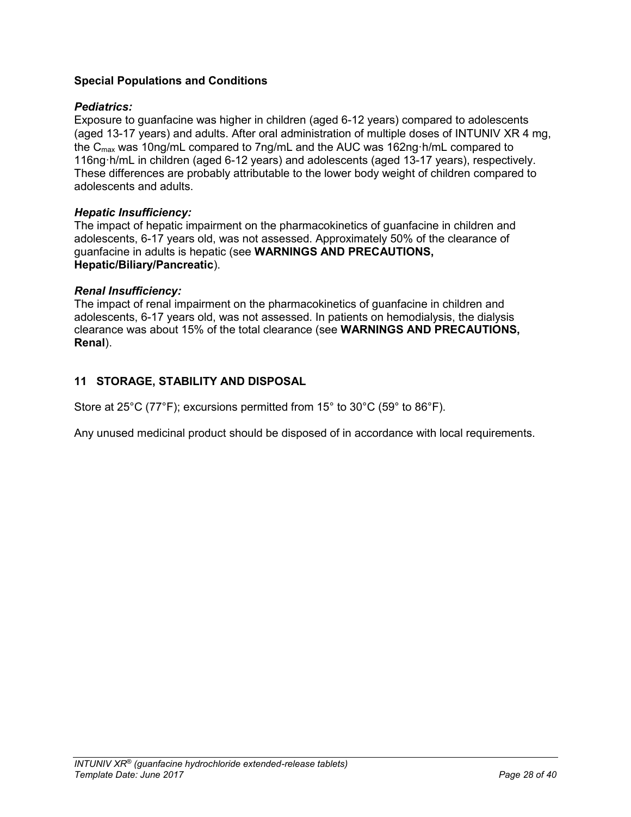# **Special Populations and Conditions**

## *Pediatrics:*

Exposure to guanfacine was higher in children (aged 6-12 years) compared to adolescents (aged 13-17 years) and adults. After oral administration of multiple doses of INTUNIV XR 4 mg, the Cmax was 10ng/mL compared to 7ng/mL and the AUC was 162ng·h/mL compared to 116ng·h/mL in children (aged 6-12 years) and adolescents (aged 13-17 years), respectively. These differences are probably attributable to the lower body weight of children compared to adolescents and adults.

## *Hepatic Insufficiency:*

The impact of hepatic impairment on the pharmacokinetics of guanfacine in children and adolescents, 6-17 years old, was not assessed. Approximately 50% of the clearance of guanfacine in adults is hepatic (see **WARNINGS AND PRECAUTIONS, Hepatic/Biliary/Pancreatic**).

### *Renal Insufficiency:*

The impact of renal impairment on the pharmacokinetics of guanfacine in children and adolescents, 6-17 years old, was not assessed. In patients on hemodialysis, the dialysis clearance was about 15% of the total clearance (see **WARNINGS AND PRECAUTIONS, Renal**).

## <span id="page-27-0"></span>**11 STORAGE, STABILITY AND DISPOSAL**

Store at 25°C (77°F); excursions permitted from 15° to 30°C (59° to 86°F).

Any unused medicinal product should be disposed of in accordance with local requirements.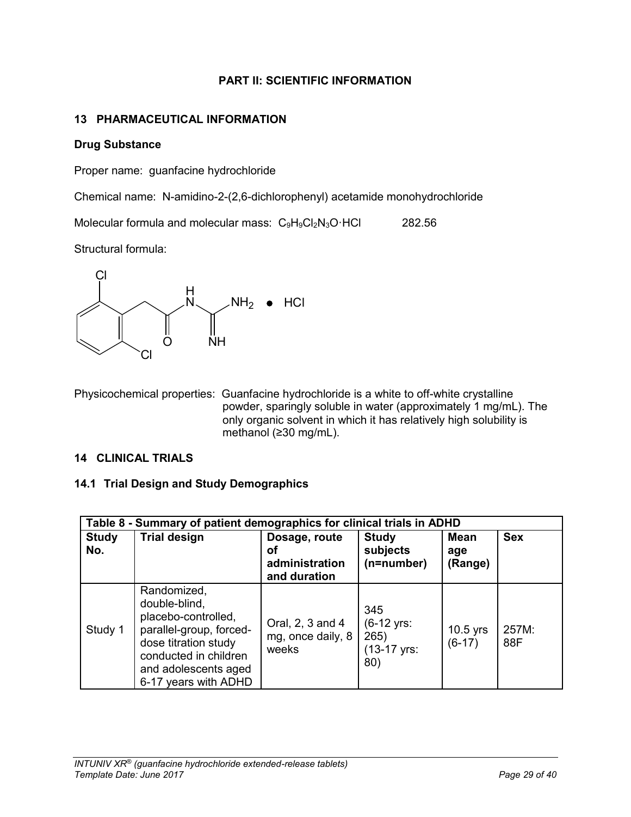# **PART II: SCIENTIFIC INFORMATION**

# <span id="page-28-0"></span>**13 PHARMACEUTICAL INFORMATION**

### **Drug Substance**

Proper name: guanfacine hydrochloride

Chemical name: N-amidino-2-(2,6-dichlorophenyl) acetamide monohydrochloride

Molecular formula and molecular mass: C<sub>9</sub>H<sub>9</sub>Cl<sub>2</sub>N<sub>3</sub>O·HCl 282.56

Structural formula:



Physicochemical properties: Guanfacine hydrochloride is a white to off-white crystalline powder, sparingly soluble in water (approximately 1 mg/mL). The only organic solvent in which it has relatively high solubility is methanol (≥30 mg/mL).

### <span id="page-28-1"></span>**14 CLINICAL TRIALS**

## <span id="page-28-2"></span>**14.1 Trial Design and Study Demographics**

|                     | Table 8 - Summary of patient demographics for clinical trials in ADHD                                                                                                           |                                                       |                                                                     |                               |              |
|---------------------|---------------------------------------------------------------------------------------------------------------------------------------------------------------------------------|-------------------------------------------------------|---------------------------------------------------------------------|-------------------------------|--------------|
| <b>Study</b><br>No. | <b>Trial design</b>                                                                                                                                                             | Dosage, route<br>οf<br>administration<br>and duration | <b>Study</b><br>subjects<br>(n=number)                              | <b>Mean</b><br>age<br>(Range) | <b>Sex</b>   |
| Study 1             | Randomized,<br>double-blind,<br>placebo-controlled,<br>parallel-group, forced-<br>dose titration study<br>conducted in children<br>and adolescents aged<br>6-17 years with ADHD | Oral, 2, 3 and 4<br>mg, once daily, 8<br>weeks        | 345<br>$(6-12 \text{ yrs})$<br>265)<br>$(13-17 \text{ yrs})$<br>80) | 10.5 yrs<br>$(6-17)$          | 257M:<br>88F |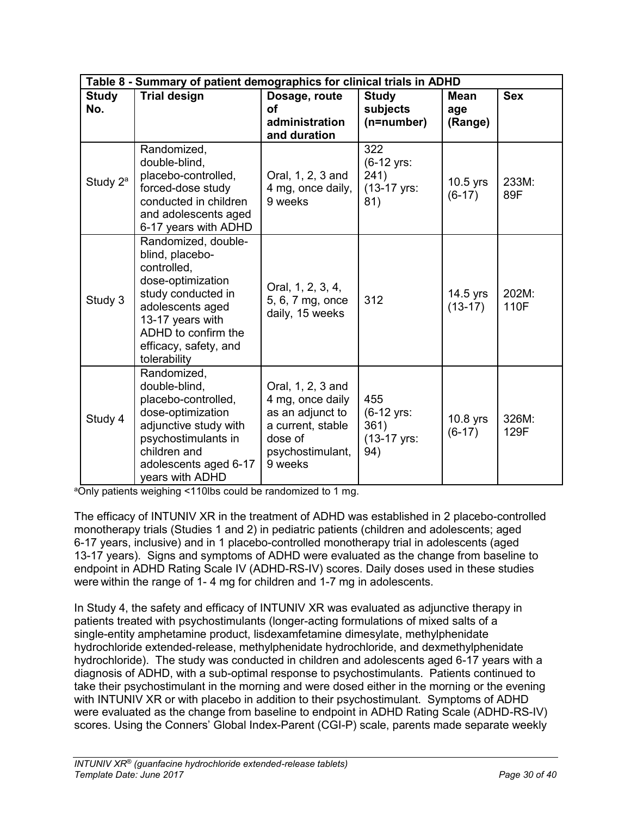|                      | Table 8 - Summary of patient demographics for clinical trials in ADHD                                                                                                                                    |                                                                                                                          |                                                                     |                        |               |
|----------------------|----------------------------------------------------------------------------------------------------------------------------------------------------------------------------------------------------------|--------------------------------------------------------------------------------------------------------------------------|---------------------------------------------------------------------|------------------------|---------------|
| <b>Study</b><br>No.  | <b>Trial design</b>                                                                                                                                                                                      | Dosage, route<br>Οf<br>administration<br>and duration                                                                    | <b>Study</b><br>subjects<br>(n=number)                              | Mean<br>age<br>(Range) | <b>Sex</b>    |
| Study 2 <sup>a</sup> | Randomized,<br>double-blind,<br>placebo-controlled,<br>forced-dose study<br>conducted in children<br>and adolescents aged<br>6-17 years with ADHD                                                        | Oral, 1, 2, 3 and<br>4 mg, once daily,<br>9 weeks                                                                        | 322<br>$(6-12 \text{ yrs})$<br>241)<br>$(13-17 \text{ yrs})$<br>81) | $10.5$ yrs<br>$(6-17)$ | 233M:<br>89F  |
| Study 3              | Randomized, double-<br>blind, placebo-<br>controlled,<br>dose-optimization<br>study conducted in<br>adolescents aged<br>13-17 years with<br>ADHD to confirm the<br>efficacy, safety, and<br>tolerability | Oral, 1, 2, 3, 4,<br>5, 6, 7 mg, once<br>daily, 15 weeks                                                                 | 312                                                                 | 14.5 yrs<br>$(13-17)$  | 202M:<br>110F |
| Study 4              | Randomized,<br>double-blind,<br>placebo-controlled,<br>dose-optimization<br>adjunctive study with<br>psychostimulants in<br>children and<br>adolescents aged 6-17<br>years with ADHD                     | Oral, 1, 2, 3 and<br>4 mg, once daily<br>as an adjunct to<br>a current, stable<br>dose of<br>psychostimulant,<br>9 weeks | 455<br>$(6-12 \text{ yrs})$<br>361)<br>(13-17 yrs:<br>94)           | $10.8$ yrs<br>$(6-17)$ | 326M:<br>129F |

aOnly patients weighing <110lbs could be randomized to 1 mg.

The efficacy of INTUNIV XR in the treatment of ADHD was established in 2 placebo-controlled monotherapy trials (Studies 1 and 2) in pediatric patients (children and adolescents; aged 6-17 years, inclusive) and in 1 placebo-controlled monotherapy trial in adolescents (aged 13-17 years). Signs and symptoms of ADHD were evaluated as the change from baseline to endpoint in ADHD Rating Scale IV (ADHD-RS-IV) scores. Daily doses used in these studies were within the range of 1- 4 mg for children and 1-7 mg in adolescents.

In Study 4, the safety and efficacy of INTUNIV XR was evaluated as adjunctive therapy in patients treated with psychostimulants (longer-acting formulations of mixed salts of a single-entity amphetamine product, lisdexamfetamine dimesylate, methylphenidate hydrochloride extended-release, methylphenidate hydrochloride, and dexmethylphenidate hydrochloride). The study was conducted in children and adolescents aged 6-17 years with a diagnosis of ADHD, with a sub-optimal response to psychostimulants. Patients continued to take their psychostimulant in the morning and were dosed either in the morning or the evening with INTUNIV XR or with placebo in addition to their psychostimulant. Symptoms of ADHD were evaluated as the change from baseline to endpoint in ADHD Rating Scale (ADHD-RS-IV) scores. Using the Conners' Global Index-Parent (CGI-P) scale, parents made separate weekly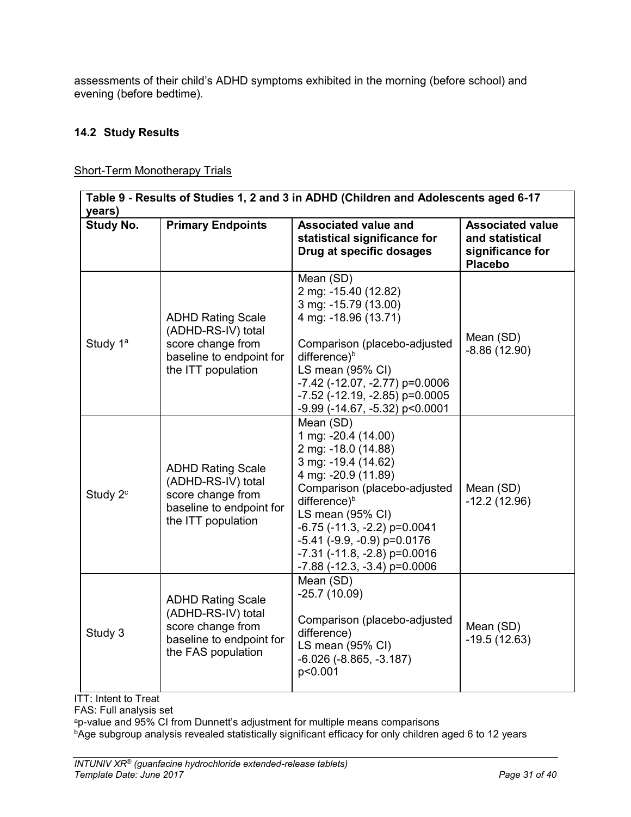assessments of their child's ADHD symptoms exhibited in the morning (before school) and evening (before bedtime).

# <span id="page-30-0"></span>**14.2 Study Results**

| <b>Short-Term Monotherapy Trials</b> |  |
|--------------------------------------|--|
|                                      |  |

| Table 9 - Results of Studies 1, 2 and 3 in ADHD (Children and Adolescents aged 6-17<br>years) |                                                                                                                       |                                                                                                                                                                                                                                                                                                                                                          |                                                                                  |  |  |
|-----------------------------------------------------------------------------------------------|-----------------------------------------------------------------------------------------------------------------------|----------------------------------------------------------------------------------------------------------------------------------------------------------------------------------------------------------------------------------------------------------------------------------------------------------------------------------------------------------|----------------------------------------------------------------------------------|--|--|
| <b>Study No.</b>                                                                              | <b>Primary Endpoints</b>                                                                                              | <b>Associated value and</b><br>statistical significance for<br>Drug at specific dosages                                                                                                                                                                                                                                                                  | <b>Associated value</b><br>and statistical<br>significance for<br><b>Placebo</b> |  |  |
| Study 1 <sup>a</sup>                                                                          | <b>ADHD Rating Scale</b><br>(ADHD-RS-IV) total<br>score change from<br>baseline to endpoint for<br>the ITT population | Mean (SD)<br>2 mg: -15.40 (12.82)<br>3 mg: -15.79 (13.00)<br>4 mg: -18.96 (13.71)<br>Comparison (placebo-adjusted<br>difference) <sup>b</sup><br>LS mean (95% CI)<br>$-7.42$ ( $-12.07$ , $-2.77$ ) p=0.0006<br>$-7.52$ ( $-12.19$ , $-2.85$ ) p=0.0005<br>-9.99 (-14.67, -5.32) p<0.0001                                                                | Mean (SD)<br>$-8.86(12.90)$                                                      |  |  |
| Study 2 <sup>c</sup>                                                                          | <b>ADHD Rating Scale</b><br>(ADHD-RS-IV) total<br>score change from<br>baseline to endpoint for<br>the ITT population | Mean (SD)<br>1 mg: -20.4 (14.00)<br>2 mg: -18.0 (14.88)<br>3 mg: -19.4 (14.62)<br>4 mg: -20.9 (11.89)<br>Comparison (placebo-adjusted<br>difference) <sup>b</sup><br>LS mean (95% CI)<br>$-6.75$ ( $-11.3$ , $-2.2$ ) p=0.0041<br>$-5.41$ ( $-9.9$ , $-0.9$ ) p=0.0176<br>$-7.31$ ( $-11.8$ , $-2.8$ ) p=0.0016<br>$-7.88$ ( $-12.3$ , $-3.4$ ) p=0.0006 | Mean (SD)<br>$-12.2(12.96)$                                                      |  |  |
| Study 3                                                                                       | <b>ADHD Rating Scale</b><br>(ADHD-RS-IV) total<br>score change from<br>baseline to endpoint for<br>the FAS population | Mean (SD)<br>$-25.7(10.09)$<br>Comparison (placebo-adjusted<br>difference)<br>LS mean (95% CI)<br>$-6.026$ ( $-8.865$ , $-3.187$ )<br>p<0.001                                                                                                                                                                                                            | Mean (SD)<br>$-19.5(12.63)$                                                      |  |  |

ITT: Intent to Treat

FAS: Full analysis set

<sup>a</sup>p-value and 95% CI from Dunnett's adjustment for multiple means comparisons

bAge subgroup analysis revealed statistically significant efficacy for only children aged 6 to 12 years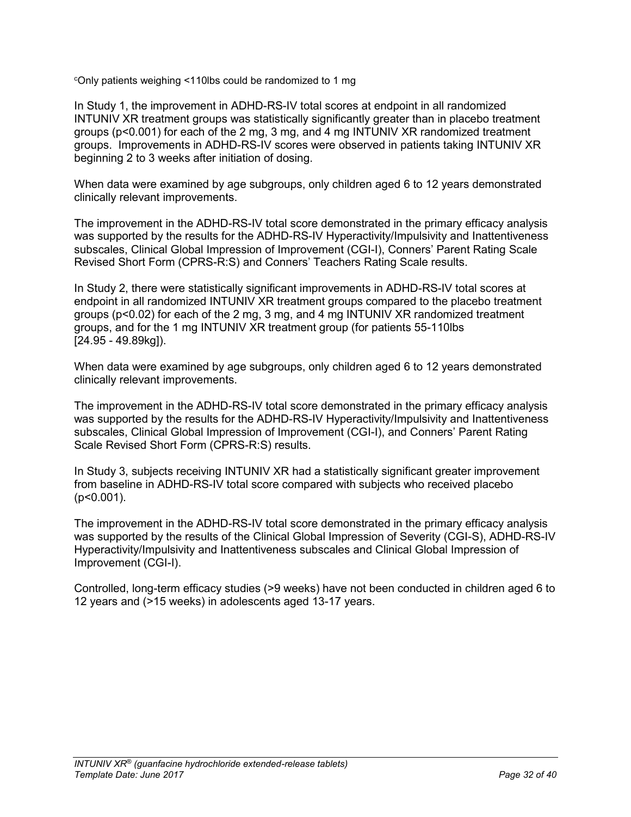<sup>c</sup>Only patients weighing <110lbs could be randomized to 1 mg

In Study 1, the improvement in ADHD-RS-IV total scores at endpoint in all randomized INTUNIV XR treatment groups was statistically significantly greater than in placebo treatment groups (p<0.001) for each of the 2 mg, 3 mg, and 4 mg INTUNIV XR randomized treatment groups. Improvements in ADHD-RS-IV scores were observed in patients taking INTUNIV XR beginning 2 to 3 weeks after initiation of dosing.

When data were examined by age subgroups, only children aged 6 to 12 years demonstrated clinically relevant improvements.

The improvement in the ADHD-RS-IV total score demonstrated in the primary efficacy analysis was supported by the results for the ADHD-RS-IV Hyperactivity/Impulsivity and Inattentiveness subscales, Clinical Global Impression of Improvement (CGI-I), Conners' Parent Rating Scale Revised Short Form (CPRS-R:S) and Conners' Teachers Rating Scale results.

In Study 2, there were statistically significant improvements in ADHD-RS-IV total scores at endpoint in all randomized INTUNIV XR treatment groups compared to the placebo treatment groups (p<0.02) for each of the 2 mg, 3 mg, and 4 mg INTUNIV XR randomized treatment groups, and for the 1 mg INTUNIV XR treatment group (for patients 55-110lbs [24.95 - 49.89kg]).

When data were examined by age subgroups, only children aged 6 to 12 years demonstrated clinically relevant improvements.

The improvement in the ADHD-RS-IV total score demonstrated in the primary efficacy analysis was supported by the results for the ADHD-RS-IV Hyperactivity/Impulsivity and Inattentiveness subscales, Clinical Global Impression of Improvement (CGI-I), and Conners' Parent Rating Scale Revised Short Form (CPRS-R:S) results.

In Study 3, subjects receiving INTUNIV XR had a statistically significant greater improvement from baseline in ADHD-RS-IV total score compared with subjects who received placebo (p<0.001).

The improvement in the ADHD-RS-IV total score demonstrated in the primary efficacy analysis was supported by the results of the Clinical Global Impression of Severity (CGI-S), ADHD-RS-IV Hyperactivity/Impulsivity and Inattentiveness subscales and Clinical Global Impression of Improvement (CGI-I).

Controlled, long-term efficacy studies (>9 weeks) have not been conducted in children aged 6 to 12 years and (>15 weeks) in adolescents aged 13-17 years.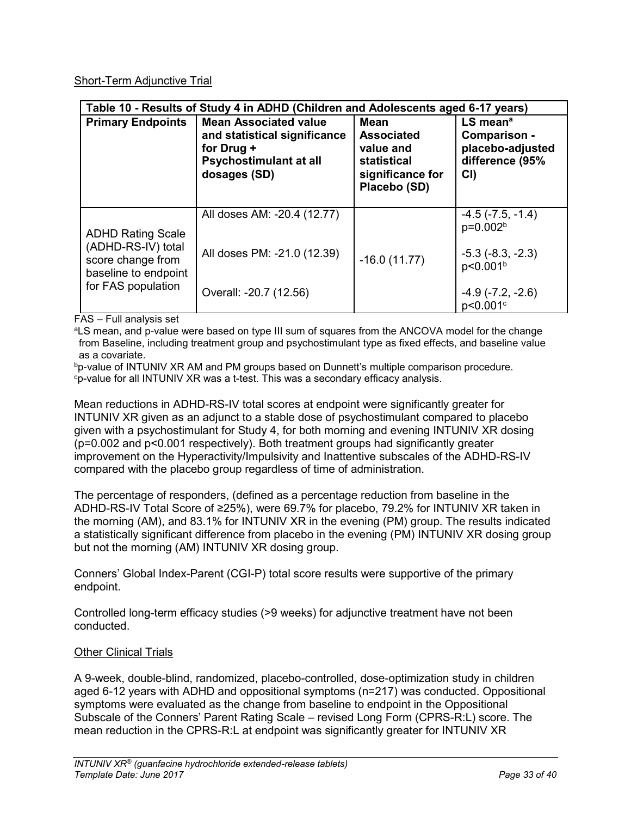# Short-Term Adjunctive Trial

| Table 10 - Results of Study 4 in ADHD (Children and Adolescents aged 6-17 years)                                  |                                                                                                                      |                                                                                                  |                                                                                                                              |  |
|-------------------------------------------------------------------------------------------------------------------|----------------------------------------------------------------------------------------------------------------------|--------------------------------------------------------------------------------------------------|------------------------------------------------------------------------------------------------------------------------------|--|
| <b>Primary Endpoints</b>                                                                                          | <b>Mean Associated value</b><br>and statistical significance<br>for Drug +<br>Psychostimulant at all<br>dosages (SD) | <b>Mean</b><br><b>Associated</b><br>value and<br>statistical<br>significance for<br>Placebo (SD) | $LS$ mean <sup>a</sup><br>Comparison -<br>placebo-adjusted<br>difference (95%<br>CI)                                         |  |
| <b>ADHD Rating Scale</b><br>(ADHD-RS-IV) total<br>score change from<br>baseline to endpoint<br>for FAS population | All doses AM: -20.4 (12.77)<br>All doses PM: -21.0 (12.39)<br>Overall: -20.7 (12.56)                                 | $-16.0(11.77)$                                                                                   | $-4.5$ ( $-7.5$ , $-1.4$ )<br>p=0.002 <sup>b</sup><br>$-5.3$ $(-8.3, -2.3)$<br>p<0.001 <sup>b</sup><br>$-4.9$ $(-7.2, -2.6)$ |  |
|                                                                                                                   |                                                                                                                      |                                                                                                  | p<0.001 <sup>c</sup>                                                                                                         |  |

FAS – Full analysis set

<sup>a</sup>LS mean, and p-value were based on type III sum of squares from the ANCOVA model for the change from Baseline, including treatment group and psychostimulant type as fixed effects, and baseline value as a covariate.

bp-value of INTUNIV XR AM and PM groups based on Dunnett's multiple comparison procedure. <sup>c</sup>p-value for all INTUNIV XR was a t-test. This was a secondary efficacy analysis.

Mean reductions in ADHD-RS-IV total scores at endpoint were significantly greater for INTUNIV XR given as an adjunct to a stable dose of psychostimulant compared to placebo given with a psychostimulant for Study 4, for both morning and evening INTUNIV XR dosing (p=0.002 and p<0.001 respectively). Both treatment groups had significantly greater improvement on the Hyperactivity/Impulsivity and Inattentive subscales of the ADHD-RS-IV compared with the placebo group regardless of time of administration.

The percentage of responders, (defined as a percentage reduction from baseline in the ADHD-RS-IV Total Score of ≥25%), were 69.7% for placebo, 79.2% for INTUNIV XR taken in the morning (AM), and 83.1% for INTUNIV XR in the evening (PM) group. The results indicated a statistically significant difference from placebo in the evening (PM) INTUNIV XR dosing group but not the morning (AM) INTUNIV XR dosing group.

Conners' Global Index-Parent (CGI-P) total score results were supportive of the primary endpoint.

Controlled long-term efficacy studies (>9 weeks) for adjunctive treatment have not been conducted.

## Other Clinical Trials

A 9-week, double-blind, randomized, placebo-controlled, dose-optimization study in children aged 6-12 years with ADHD and oppositional symptoms (n=217) was conducted. Oppositional symptoms were evaluated as the change from baseline to endpoint in the Oppositional Subscale of the Conners' Parent Rating Scale – revised Long Form (CPRS-R:L) score. The mean reduction in the CPRS-R:L at endpoint was significantly greater for INTUNIV XR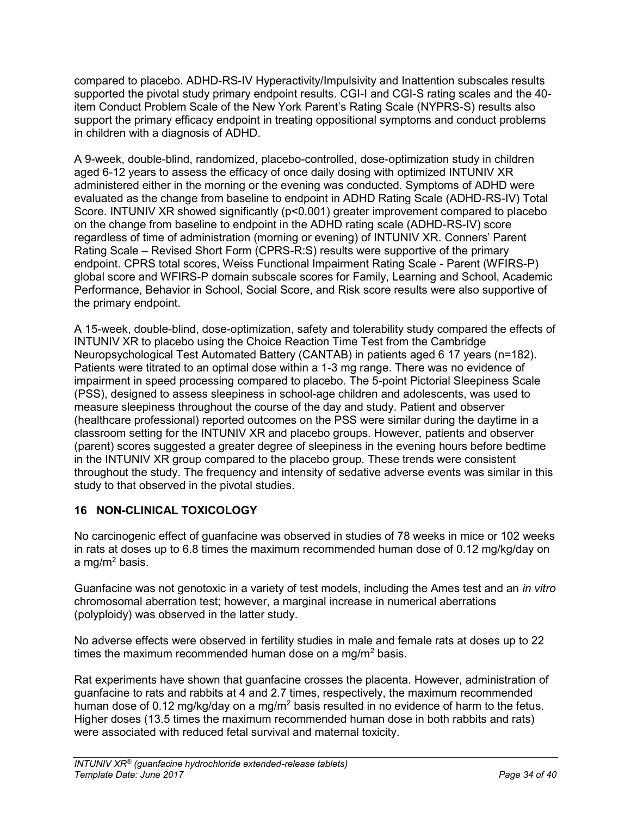compared to placebo. ADHD-RS-IV Hyperactivity/Impulsivity and Inattention subscales results supported the pivotal study primary endpoint results. CGI-I and CGI-S rating scales and the 40 item Conduct Problem Scale of the New York Parent's Rating Scale (NYPRS-S) results also support the primary efficacy endpoint in treating oppositional symptoms and conduct problems in children with a diagnosis of ADHD.

A 9-week, double-blind, randomized, placebo-controlled, dose-optimization study in children aged 6-12 years to assess the efficacy of once daily dosing with optimized INTUNIV XR administered either in the morning or the evening was conducted. Symptoms of ADHD were evaluated as the change from baseline to endpoint in ADHD Rating Scale (ADHD-RS-IV) Total Score. INTUNIV XR showed significantly (p<0.001) greater improvement compared to placebo on the change from baseline to endpoint in the ADHD rating scale (ADHD-RS-IV) score regardless of time of administration (morning or evening) of INTUNIV XR. Conners' Parent Rating Scale – Revised Short Form (CPRS-R:S) results were supportive of the primary endpoint. CPRS total scores, Weiss Functional Impairment Rating Scale - Parent (WFIRS-P) global score and WFIRS-P domain subscale scores for Family, Learning and School, Academic Performance, Behavior in School, Social Score, and Risk score results were also supportive of the primary endpoint.

A 15-week, double-blind, dose-optimization, safety and tolerability study compared the effects of INTUNIV XR to placebo using the Choice Reaction Time Test from the Cambridge Neuropsychological Test Automated Battery (CANTAB) in patients aged 6 17 years (n=182). Patients were titrated to an optimal dose within a 1-3 mg range. There was no evidence of impairment in speed processing compared to placebo. The 5-point Pictorial Sleepiness Scale (PSS), designed to assess sleepiness in school-age children and adolescents, was used to measure sleepiness throughout the course of the day and study. Patient and observer (healthcare professional) reported outcomes on the PSS were similar during the daytime in a classroom setting for the INTUNIV XR and placebo groups. However, patients and observer (parent) scores suggested a greater degree of sleepiness in the evening hours before bedtime in the INTUNIV XR group compared to the placebo group. These trends were consistent throughout the study. The frequency and intensity of sedative adverse events was similar in this study to that observed in the pivotal studies.

# <span id="page-33-0"></span>**16 NON-CLINICAL TOXICOLOGY**

No carcinogenic effect of guanfacine was observed in studies of 78 weeks in mice or 102 weeks in rats at doses up to 6.8 times the maximum recommended human dose of 0.12 mg/kg/day on a mg/ $m^2$  basis.

Guanfacine was not genotoxic in a variety of test models, including the Ames test and an *in vitro* chromosomal aberration test; however, a marginal increase in numerical aberrations (polyploidy) was observed in the latter study.

No adverse effects were observed in fertility studies in male and female rats at doses up to 22 times the maximum recommended human dose on a mg/m<sup>2</sup> basis.

Rat experiments have shown that guanfacine crosses the placenta. However, administration of guanfacine to rats and rabbits at 4 and 2.7 times, respectively, the maximum recommended human dose of 0.12 mg/kg/day on a mg/m<sup>2</sup> basis resulted in no evidence of harm to the fetus. Higher doses (13.5 times the maximum recommended human dose in both rabbits and rats) were associated with reduced fetal survival and maternal toxicity.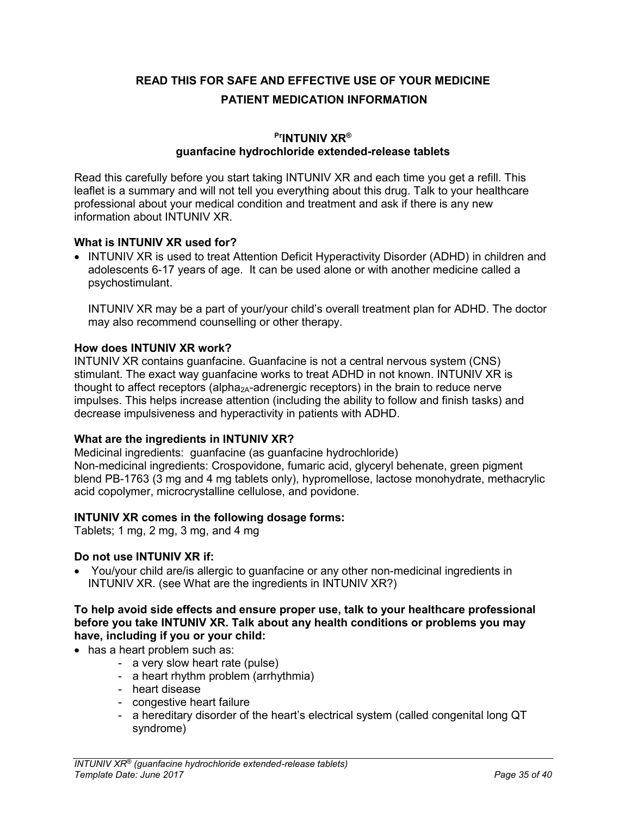<span id="page-34-0"></span>**READ THIS FOR SAFE AND EFFECTIVE USE OF YOUR MEDICINE PATIENT MEDICATION INFORMATION**

## **PrINTUNIV XR® guanfacine hydrochloride extended-release tablets**

Read this carefully before you start taking INTUNIV XR and each time you get a refill. This leaflet is a summary and will not tell you everything about this drug. Talk to your healthcare professional about your medical condition and treatment and ask if there is any new information about INTUNIV XR.

## **What is INTUNIV XR used for?**

• INTUNIV XR is used to treat Attention Deficit Hyperactivity Disorder (ADHD) in children and adolescents 6-17 years of age. It can be used alone or with another medicine called a psychostimulant.

INTUNIV XR may be a part of your/your child's overall treatment plan for ADHD. The doctor may also recommend counselling or other therapy.

## **How does INTUNIV XR work?**

INTUNIV XR contains guanfacine. Guanfacine is not a central nervous system (CNS) stimulant. The exact way guanfacine works to treat ADHD in not known. INTUNIV XR is thought to affect receptors (alpha<sub>2A</sub>-adrenergic receptors) in the brain to reduce nerve impulses. This helps increase attention (including the ability to follow and finish tasks) and decrease impulsiveness and hyperactivity in patients with ADHD.

## **What are the ingredients in INTUNIV XR?**

Medicinal ingredients:guanfacine (as guanfacine hydrochloride) Non-medicinal ingredients: Crospovidone, fumaric acid, glyceryl behenate, green pigment blend PB-1763 (3 mg and 4 mg tablets only), hypromellose, lactose monohydrate, methacrylic acid copolymer, microcrystalline cellulose, and povidone.

## **INTUNIV XR comes in the following dosage forms:**

Tablets; 1 mg, 2 mg, 3 mg, and 4 mg

#### **Do not use INTUNIV XR if:**

 You/your child are/is allergic to guanfacine or any other non-medicinal ingredients in INTUNIV XR. (see What are the ingredients in INTUNIV XR?)

#### **To help avoid side effects and ensure proper use, talk to your healthcare professional before you take INTUNIV XR. Talk about any health conditions or problems you may have, including if you or your child:**

- has a heart problem such as:
	- a very slow heart rate (pulse)
	- a heart rhythm problem (arrhythmia)
	- heart disease
	- congestive heart failure
	- a hereditary disorder of the heart's electrical system (called congenital long QT syndrome)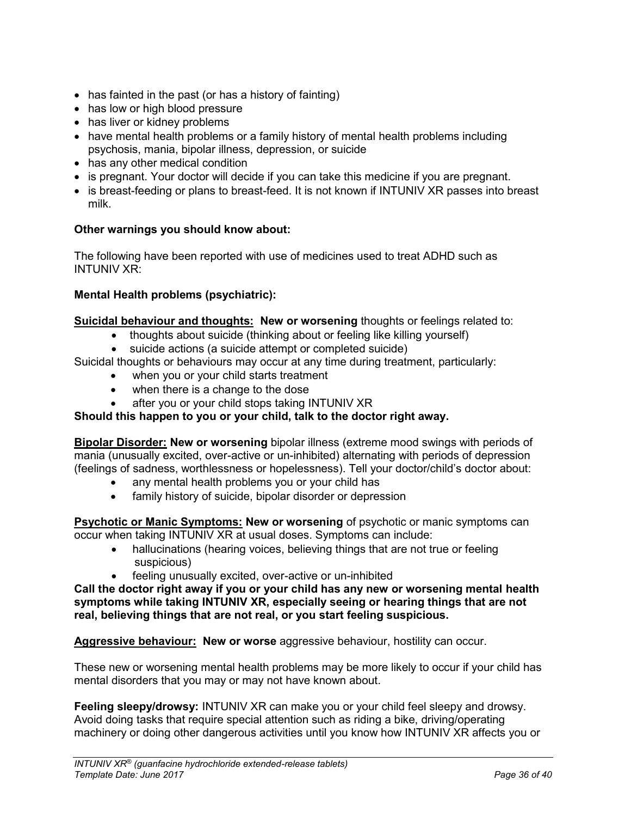- has fainted in the past (or has a history of fainting)
- has low or high blood pressure
- has liver or kidney problems
- have mental health problems or a family history of mental health problems including psychosis, mania, bipolar illness, depression, or suicide
- has any other medical condition
- is pregnant. Your doctor will decide if you can take this medicine if you are pregnant.
- is breast-feeding or plans to breast-feed. It is not known if INTUNIV XR passes into breast milk.

## **Other warnings you should know about:**

The following have been reported with use of medicines used to treat ADHD such as INTUNIV XR:

### **Mental Health problems (psychiatric):**

**Suicidal behaviour and thoughts: New or worsening** thoughts or feelings related to:

- thoughts about suicide (thinking about or feeling like killing yourself)
	- suicide actions (a suicide attempt or completed suicide)

Suicidal thoughts or behaviours may occur at any time during treatment, particularly:

- when you or your child starts treatment
- when there is a change to the dose
- after you or your child stops taking INTUNIV XR

## **Should this happen to you or your child, talk to the doctor right away.**

**Bipolar Disorder: New or worsening** bipolar illness (extreme mood swings with periods of mania (unusually excited, over-active or un-inhibited) alternating with periods of depression (feelings of sadness, worthlessness or hopelessness). Tell your doctor/child's doctor about:

- any mental health problems you or your child has
- family history of suicide, bipolar disorder or depression

**Psychotic or Manic Symptoms: New or worsening** of psychotic or manic symptoms can occur when taking INTUNIV XR at usual doses. Symptoms can include:

- hallucinations (hearing voices, believing things that are not true or feeling suspicious)
- feeling unusually excited, over-active or un-inhibited

**Call the doctor right away if you or your child has any new or worsening mental health symptoms while taking INTUNIV XR, especially seeing or hearing things that are not real, believing things that are not real, or you start feeling suspicious.**

**Aggressive behaviour: New or worse** aggressive behaviour, hostility can occur.

These new or worsening mental health problems may be more likely to occur if your child has mental disorders that you may or may not have known about.

**Feeling sleepy/drowsy:** INTUNIV XR can make you or your child feel sleepy and drowsy. Avoid doing tasks that require special attention such as riding a bike, driving/operating machinery or doing other dangerous activities until you know how INTUNIV XR affects you or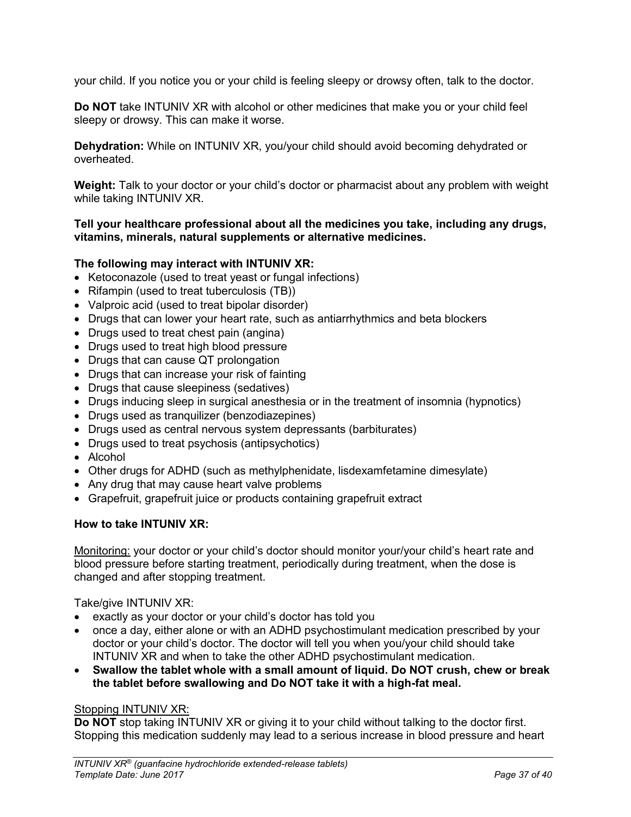your child. If you notice you or your child is feeling sleepy or drowsy often, talk to the doctor.

**Do NOT** take INTUNIV XR with alcohol or other medicines that make you or your child feel sleepy or drowsy. This can make it worse.

**Dehydration:** While on INTUNIV XR, you/your child should avoid becoming dehydrated or overheated.

**Weight:** Talk to your doctor or your child's doctor or pharmacist about any problem with weight while taking INTUNIV XR.

## **Tell your healthcare professional about all the medicines you take, including any drugs, vitamins, minerals, natural supplements or alternative medicines.**

## **The following may interact with INTUNIV XR:**

- Ketoconazole (used to treat yeast or fungal infections)
- Rifampin (used to treat tuberculosis (TB))
- Valproic acid (used to treat bipolar disorder)
- Drugs that can lower your heart rate, such as antiarrhythmics and beta blockers
- Drugs used to treat chest pain (angina)
- Drugs used to treat high blood pressure
- Drugs that can cause QT prolongation
- Drugs that can increase your risk of fainting
- Drugs that cause sleepiness (sedatives)
- Drugs inducing sleep in surgical anesthesia or in the treatment of insomnia (hypnotics)
- Drugs used as tranquilizer (benzodiazepines)
- Drugs used as central nervous system depressants (barbiturates)
- Drugs used to treat psychosis (antipsychotics)
- Alcohol
- Other drugs for ADHD (such as methylphenidate, lisdexamfetamine dimesylate)
- Any drug that may cause heart valve problems
- Grapefruit, grapefruit juice or products containing grapefruit extract

## **How to take INTUNIV XR:**

Monitoring: your doctor or your child's doctor should monitor your/your child's heart rate and blood pressure before starting treatment, periodically during treatment, when the dose is changed and after stopping treatment.

Take/give INTUNIV XR:

- exactly as your doctor or your child's doctor has told you
- once a day, either alone or with an ADHD psychostimulant medication prescribed by your doctor or your child's doctor. The doctor will tell you when you/your child should take INTUNIV XR and when to take the other ADHD psychostimulant medication.
- **Swallow the tablet whole with a small amount of liquid. Do NOT crush, chew or break the tablet before swallowing and Do NOT take it with a high-fat meal.**

## Stopping INTUNIV XR:

**Do NOT** stop taking INTUNIV XR or giving it to your child without talking to the doctor first. Stopping this medication suddenly may lead to a serious increase in blood pressure and heart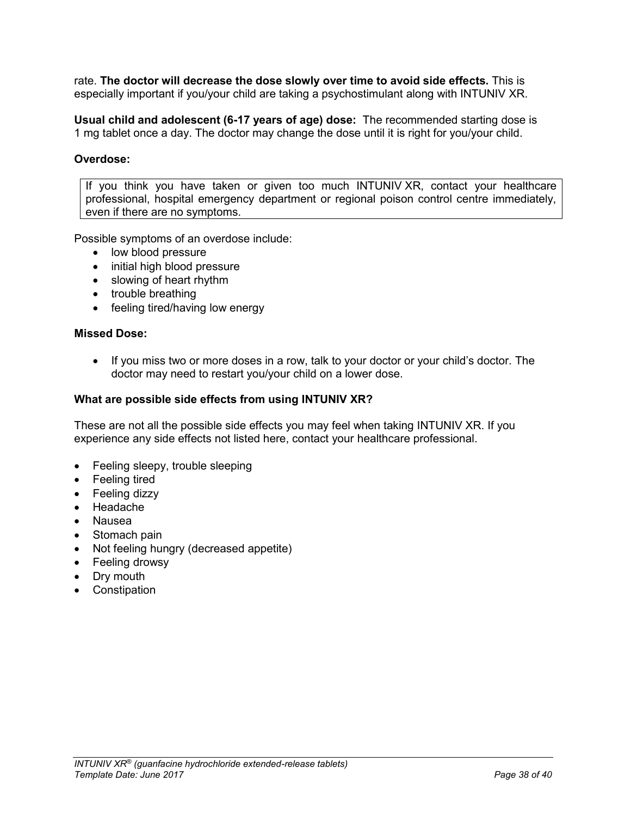rate. **The doctor will decrease the dose slowly over time to avoid side effects.** This is especially important if you/your child are taking a psychostimulant along with INTUNIV XR.

**Usual child and adolescent (6-17 years of age) dose:** The recommended starting dose is 1 mg tablet once a day. The doctor may change the dose until it is right for you/your child.

## **Overdose:**

If you think you have taken or given too much INTUNIV XR, contact your healthcare professional, hospital emergency department or regional poison control centre immediately, even if there are no symptoms.

Possible symptoms of an overdose include:

- low blood pressure
- initial high blood pressure
- slowing of heart rhythm
- trouble breathing
- feeling tired/having low energy

#### **Missed Dose:**

• If you miss two or more doses in a row, talk to your doctor or your child's doctor. The doctor may need to restart you/your child on a lower dose.

#### **What are possible side effects from using INTUNIV XR?**

These are not all the possible side effects you may feel when taking INTUNIV XR. If you experience any side effects not listed here, contact your healthcare professional.

- Feeling sleepy, trouble sleeping
- Feeling tired
- Feeling dizzy
- Headache
- Nausea
- Stomach pain
- Not feeling hungry (decreased appetite)
- Feeling drowsy
- Dry mouth
- Constipation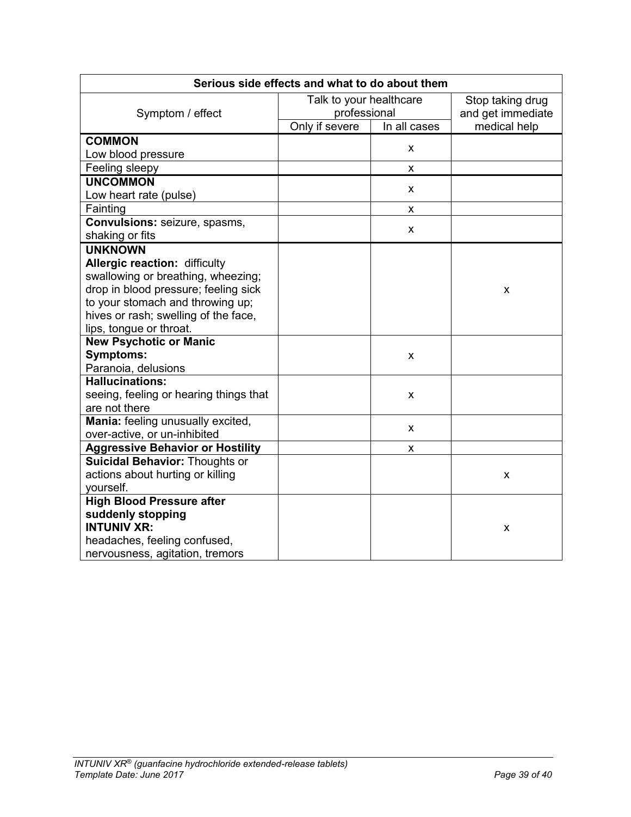| Serious side effects and what to do about them |                         |              |                   |
|------------------------------------------------|-------------------------|--------------|-------------------|
| Symptom / effect                               | Talk to your healthcare |              | Stop taking drug  |
|                                                | professional            |              | and get immediate |
|                                                | Only if severe          | In all cases | medical help      |
| <b>COMMON</b>                                  |                         | X            |                   |
| Low blood pressure                             |                         |              |                   |
| Feeling sleepy                                 |                         | X            |                   |
| <b>UNCOMMON</b>                                |                         | X.           |                   |
| Low heart rate (pulse)                         |                         |              |                   |
| Fainting                                       |                         | x            |                   |
| Convulsions: seizure, spasms,                  |                         | X            |                   |
| shaking or fits                                |                         |              |                   |
| <b>UNKNOWN</b>                                 |                         |              |                   |
| Allergic reaction: difficulty                  |                         |              |                   |
| swallowing or breathing, wheezing;             |                         |              |                   |
| drop in blood pressure; feeling sick           |                         |              | X                 |
| to your stomach and throwing up;               |                         |              |                   |
| hives or rash; swelling of the face,           |                         |              |                   |
| lips, tongue or throat.                        |                         |              |                   |
| <b>New Psychotic or Manic</b>                  |                         |              |                   |
| <b>Symptoms:</b>                               |                         | X            |                   |
| Paranoia, delusions                            |                         |              |                   |
| <b>Hallucinations:</b>                         |                         |              |                   |
| seeing, feeling or hearing things that         |                         | X            |                   |
| are not there                                  |                         |              |                   |
| Mania: feeling unusually excited,              |                         | X            |                   |
| over-active, or un-inhibited                   |                         |              |                   |
| <b>Aggressive Behavior or Hostility</b>        |                         | X.           |                   |
| <b>Suicidal Behavior: Thoughts or</b>          |                         |              |                   |
| actions about hurting or killing               |                         |              | X                 |
| yourself.                                      |                         |              |                   |
| <b>High Blood Pressure after</b>               |                         |              |                   |
| suddenly stopping                              |                         |              |                   |
| <b>INTUNIV XR:</b>                             |                         |              | X                 |
| headaches, feeling confused,                   |                         |              |                   |
| nervousness, agitation, tremors                |                         |              |                   |